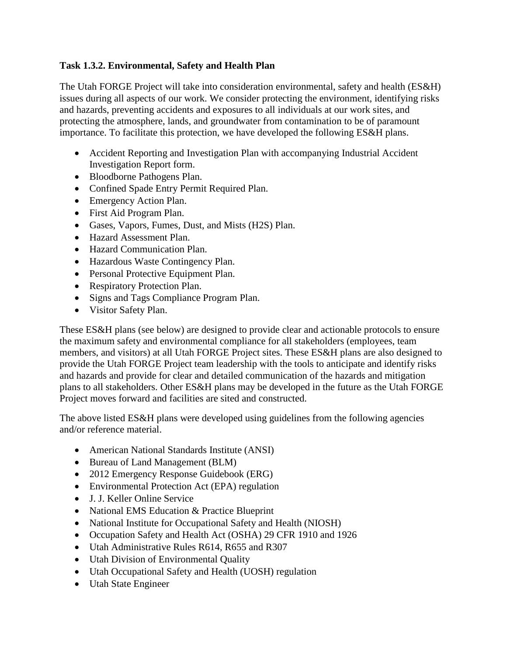### **Task 1.3.2. Environmental, Safety and Health Plan**

The Utah FORGE Project will take into consideration environmental, safety and health (ES&H) issues during all aspects of our work. We consider protecting the environment, identifying risks and hazards, preventing accidents and exposures to all individuals at our work sites, and protecting the atmosphere, lands, and groundwater from contamination to be of paramount importance. To facilitate this protection, we have developed the following ES&H plans.

- Accident Reporting and Investigation Plan with accompanying Industrial Accident Investigation Report form.
- Bloodborne Pathogens Plan.
- Confined Spade Entry Permit Required Plan.
- Emergency Action Plan.
- First Aid Program Plan.
- Gases, Vapors, Fumes, Dust, and Mists (H2S) Plan.
- Hazard Assessment Plan.
- Hazard Communication Plan.
- Hazardous Waste Contingency Plan.
- Personal Protective Equipment Plan.
- Respiratory Protection Plan.
- Signs and Tags Compliance Program Plan.
- Visitor Safety Plan.

These ES&H plans (see below) are designed to provide clear and actionable protocols to ensure the maximum safety and environmental compliance for all stakeholders (employees, team members, and visitors) at all Utah FORGE Project sites. These ES&H plans are also designed to provide the Utah FORGE Project team leadership with the tools to anticipate and identify risks and hazards and provide for clear and detailed communication of the hazards and mitigation plans to all stakeholders. Other ES&H plans may be developed in the future as the Utah FORGE Project moves forward and facilities are sited and constructed.

The above listed ES&H plans were developed using guidelines from the following agencies and/or reference material.

- American National Standards Institute (ANSI)
- Bureau of Land Management (BLM)
- 2012 Emergency Response Guidebook (ERG)
- Environmental Protection Act (EPA) regulation
- J. J. Keller Online Service
- National EMS Education & Practice Blueprint
- National Institute for Occupational Safety and Health (NIOSH)
- Occupation Safety and Health Act (OSHA) 29 CFR 1910 and 1926
- Utah Administrative Rules R614, R655 and R307
- Utah Division of Environmental Quality
- Utah Occupational Safety and Health (UOSH) regulation
- Utah State Engineer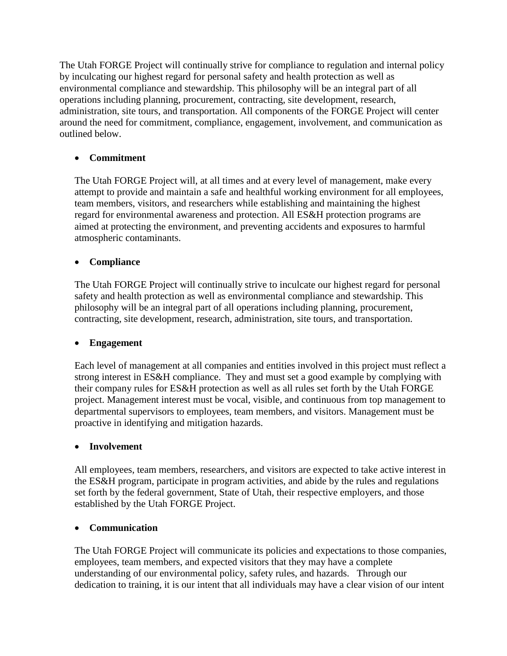The Utah FORGE Project will continually strive for compliance to regulation and internal policy by inculcating our highest regard for personal safety and health protection as well as environmental compliance and stewardship. This philosophy will be an integral part of all operations including planning, procurement, contracting, site development, research, administration, site tours, and transportation. All components of the FORGE Project will center around the need for commitment, compliance, engagement, involvement, and communication as outlined below.

# **Commitment**

The Utah FORGE Project will, at all times and at every level of management, make every attempt to provide and maintain a safe and healthful working environment for all employees, team members, visitors, and researchers while establishing and maintaining the highest regard for environmental awareness and protection. All ES&H protection programs are aimed at protecting the environment, and preventing accidents and exposures to harmful atmospheric contaminants.

# **Compliance**

The Utah FORGE Project will continually strive to inculcate our highest regard for personal safety and health protection as well as environmental compliance and stewardship. This philosophy will be an integral part of all operations including planning, procurement, contracting, site development, research, administration, site tours, and transportation.

### **Engagement**

Each level of management at all companies and entities involved in this project must reflect a strong interest in ES&H compliance. They and must set a good example by complying with their company rules for ES&H protection as well as all rules set forth by the Utah FORGE project. Management interest must be vocal, visible, and continuous from top management to departmental supervisors to employees, team members, and visitors. Management must be proactive in identifying and mitigation hazards.

### **Involvement**

All employees, team members, researchers, and visitors are expected to take active interest in the ES&H program, participate in program activities, and abide by the rules and regulations set forth by the federal government, State of Utah, their respective employers, and those established by the Utah FORGE Project.

### **Communication**

The Utah FORGE Project will communicate its policies and expectations to those companies, employees, team members, and expected visitors that they may have a complete understanding of our environmental policy, safety rules, and hazards. Through our dedication to training, it is our intent that all individuals may have a clear vision of our intent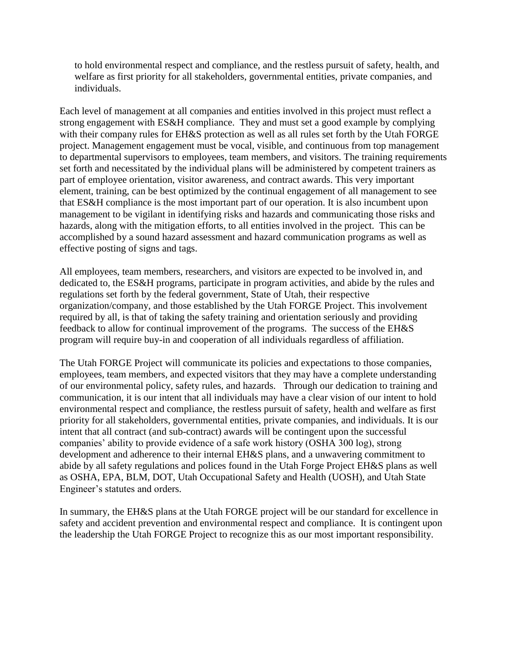to hold environmental respect and compliance, and the restless pursuit of safety, health, and welfare as first priority for all stakeholders, governmental entities, private companies, and individuals.

Each level of management at all companies and entities involved in this project must reflect a strong engagement with ES&H compliance. They and must set a good example by complying with their company rules for EH&S protection as well as all rules set forth by the Utah FORGE project. Management engagement must be vocal, visible, and continuous from top management to departmental supervisors to employees, team members, and visitors. The training requirements set forth and necessitated by the individual plans will be administered by competent trainers as part of employee orientation, visitor awareness, and contract awards. This very important element, training, can be best optimized by the continual engagement of all management to see that ES&H compliance is the most important part of our operation. It is also incumbent upon management to be vigilant in identifying risks and hazards and communicating those risks and hazards, along with the mitigation efforts, to all entities involved in the project. This can be accomplished by a sound hazard assessment and hazard communication programs as well as effective posting of signs and tags.

All employees, team members, researchers, and visitors are expected to be involved in, and dedicated to, the ES&H programs, participate in program activities, and abide by the rules and regulations set forth by the federal government, State of Utah, their respective organization/company, and those established by the Utah FORGE Project. This involvement required by all, is that of taking the safety training and orientation seriously and providing feedback to allow for continual improvement of the programs. The success of the EH&S program will require buy-in and cooperation of all individuals regardless of affiliation.

The Utah FORGE Project will communicate its policies and expectations to those companies, employees, team members, and expected visitors that they may have a complete understanding of our environmental policy, safety rules, and hazards. Through our dedication to training and communication, it is our intent that all individuals may have a clear vision of our intent to hold environmental respect and compliance, the restless pursuit of safety, health and welfare as first priority for all stakeholders, governmental entities, private companies, and individuals. It is our intent that all contract (and sub-contract) awards will be contingent upon the successful companies' ability to provide evidence of a safe work history (OSHA 300 log), strong development and adherence to their internal EH&S plans, and a unwavering commitment to abide by all safety regulations and polices found in the Utah Forge Project EH&S plans as well as OSHA, EPA, BLM, DOT, Utah Occupational Safety and Health (UOSH), and Utah State Engineer's statutes and orders.

In summary, the EH&S plans at the Utah FORGE project will be our standard for excellence in safety and accident prevention and environmental respect and compliance. It is contingent upon the leadership the Utah FORGE Project to recognize this as our most important responsibility.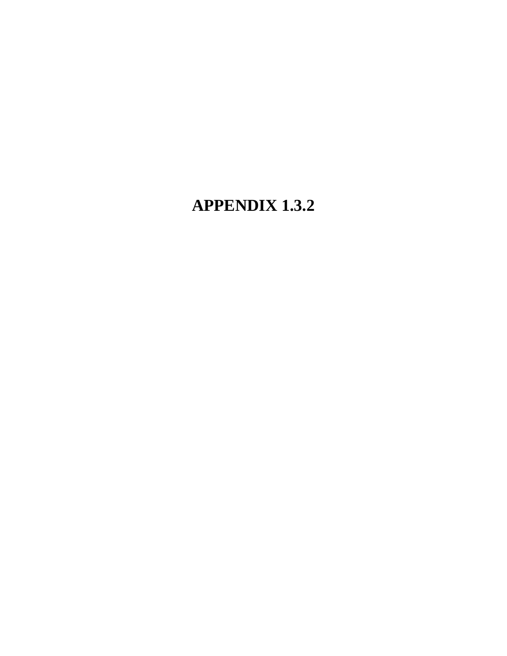# **APPENDIX 1.3.2**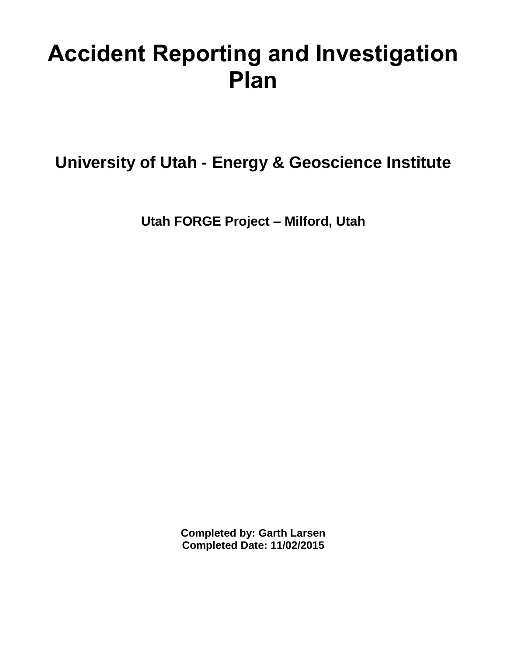# **Accident Reporting and Investigation Plan**

**University of Utah - Energy & Geoscience Institute**

**Utah FORGE Project – Milford, Utah**

**Completed by: Garth Larsen Completed Date: 11/02/2015**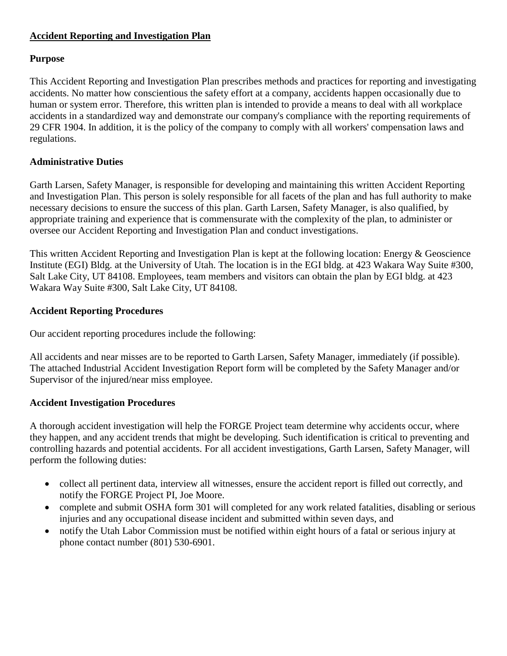# **Accident Reporting and Investigation Plan**

### **Purpose**

This Accident Reporting and Investigation Plan prescribes methods and practices for reporting and investigating accidents. No matter how conscientious the safety effort at a company, accidents happen occasionally due to human or system error. Therefore, this written plan is intended to provide a means to deal with all workplace accidents in a standardized way and demonstrate our company's compliance with the reporting requirements of 29 CFR 1904. In addition, it is the policy of the company to comply with all workers' compensation laws and regulations.

#### **Administrative Duties**

Garth Larsen, Safety Manager, is responsible for developing and maintaining this written Accident Reporting and Investigation Plan. This person is solely responsible for all facets of the plan and has full authority to make necessary decisions to ensure the success of this plan. Garth Larsen, Safety Manager, is also qualified, by appropriate training and experience that is commensurate with the complexity of the plan, to administer or oversee our Accident Reporting and Investigation Plan and conduct investigations.

This written Accident Reporting and Investigation Plan is kept at the following location: Energy & Geoscience Institute (EGI) Bldg. at the University of Utah. The location is in the EGI bldg. at 423 Wakara Way Suite #300, Salt Lake City, UT 84108. Employees, team members and visitors can obtain the plan by EGI bldg. at 423 Wakara Way Suite #300, Salt Lake City, UT 84108.

#### **Accident Reporting Procedures**

Our accident reporting procedures include the following:

All accidents and near misses are to be reported to Garth Larsen, Safety Manager, immediately (if possible). The attached Industrial Accident Investigation Report form will be completed by the Safety Manager and/or Supervisor of the injured/near miss employee.

### **Accident Investigation Procedures**

A thorough accident investigation will help the FORGE Project team determine why accidents occur, where they happen, and any accident trends that might be developing. Such identification is critical to preventing and controlling hazards and potential accidents. For all accident investigations, Garth Larsen, Safety Manager, will perform the following duties:

- collect all pertinent data, interview all witnesses, ensure the accident report is filled out correctly, and notify the FORGE Project PI, Joe Moore.
- complete and submit OSHA form 301 will completed for any work related fatalities, disabling or serious injuries and any occupational disease incident and submitted within seven days, and
- notify the Utah Labor Commission must be notified within eight hours of a fatal or serious injury at phone contact number (801) 530-6901.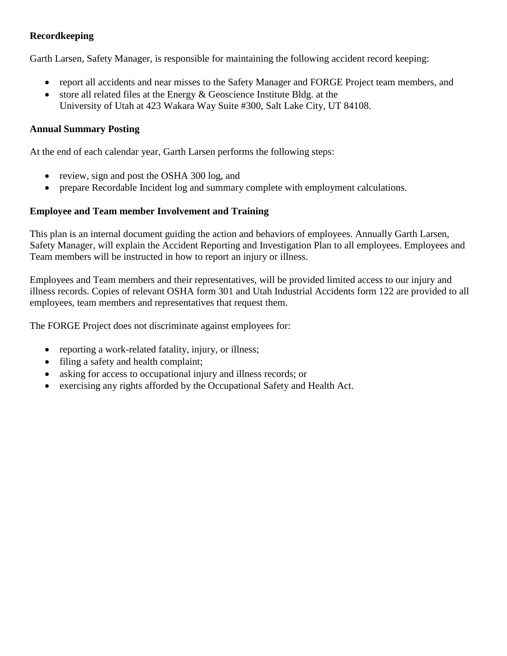# **Recordkeeping**

Garth Larsen, Safety Manager, is responsible for maintaining the following accident record keeping:

- report all accidents and near misses to the Safety Manager and FORGE Project team members, and
- store all related files at the Energy & Geoscience Institute Bldg. at the University of Utah at 423 Wakara Way Suite #300, Salt Lake City, UT 84108.

# **Annual Summary Posting**

At the end of each calendar year, Garth Larsen performs the following steps:

- review, sign and post the OSHA 300 log, and
- prepare Recordable Incident log and summary complete with employment calculations.

# **Employee and Team member Involvement and Training**

This plan is an internal document guiding the action and behaviors of employees. Annually Garth Larsen, Safety Manager, will explain the Accident Reporting and Investigation Plan to all employees. Employees and Team members will be instructed in how to report an injury or illness.

Employees and Team members and their representatives, will be provided limited access to our injury and illness records. Copies of relevant OSHA form 301 and Utah Industrial Accidents form 122 are provided to all employees, team members and representatives that request them.

The FORGE Project does not discriminate against employees for:

- reporting a work-related fatality, injury, or illness;
- filing a safety and health complaint;
- asking for access to occupational injury and illness records; or
- exercising any rights afforded by the Occupational Safety and Health Act.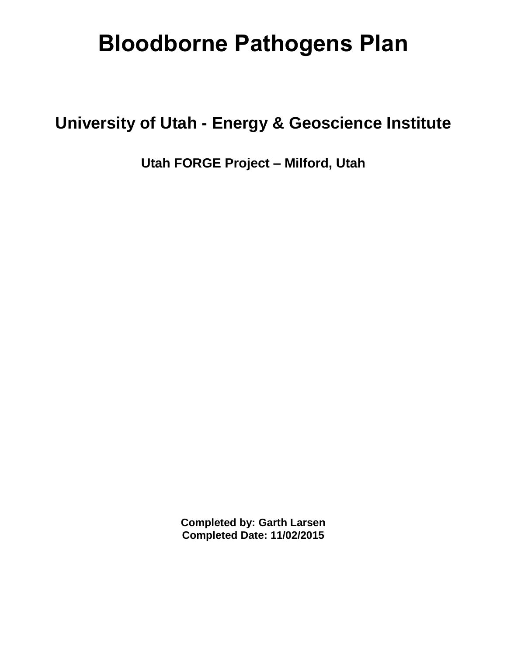# **Bloodborne Pathogens Plan**

**University of Utah - Energy & Geoscience Institute**

**Utah FORGE Project – Milford, Utah**

**Completed by: Garth Larsen Completed Date: 11/02/2015**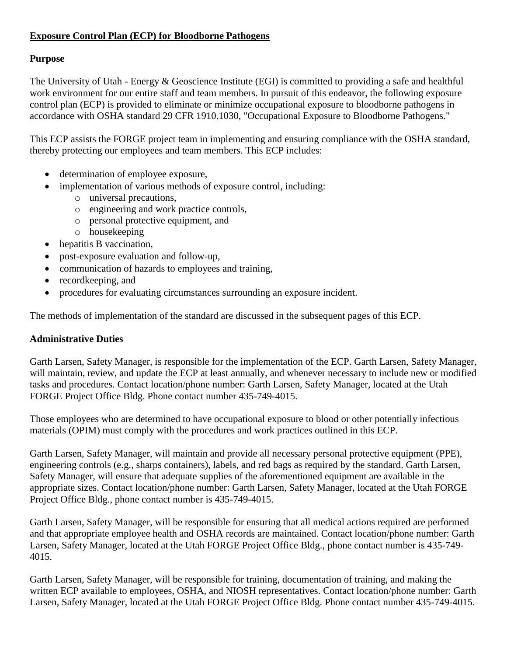# **Exposure Control Plan (ECP) for Bloodborne Pathogens**

# **Purpose**

The University of Utah - Energy & Geoscience Institute (EGI) is committed to providing a safe and healthful work environment for our entire staff and team members. In pursuit of this endeavor, the following exposure control plan (ECP) is provided to eliminate or minimize occupational exposure to bloodborne pathogens in accordance with OSHA standard 29 CFR 1910.1030, "Occupational Exposure to Bloodborne Pathogens."

This ECP assists the FORGE project team in implementing and ensuring compliance with the OSHA standard, thereby protecting our employees and team members. This ECP includes:

- determination of employee exposure,
- implementation of various methods of exposure control, including:
	- o universal precautions,
	- o engineering and work practice controls,
	- o personal protective equipment, and
	- o housekeeping
- hepatitis B vaccination,
- post-exposure evaluation and follow-up,
- communication of hazards to employees and training,
- recordkeeping, and
- procedures for evaluating circumstances surrounding an exposure incident.

The methods of implementation of the standard are discussed in the subsequent pages of this ECP.

### **Administrative Duties**

Garth Larsen, Safety Manager, is responsible for the implementation of the ECP. Garth Larsen, Safety Manager, will maintain, review, and update the ECP at least annually, and whenever necessary to include new or modified tasks and procedures. Contact location/phone number: Garth Larsen, Safety Manager, located at the Utah FORGE Project Office Bldg. Phone contact number 435-749-4015.

Those employees who are determined to have occupational exposure to blood or other potentially infectious materials (OPIM) must comply with the procedures and work practices outlined in this ECP.

Garth Larsen, Safety Manager, will maintain and provide all necessary personal protective equipment (PPE), engineering controls (e.g., sharps containers), labels, and red bags as required by the standard. Garth Larsen, Safety Manager, will ensure that adequate supplies of the aforementioned equipment are available in the appropriate sizes. Contact location/phone number: Garth Larsen, Safety Manager, located at the Utah FORGE Project Office Bldg., phone contact number is 435-749-4015.

Garth Larsen, Safety Manager, will be responsible for ensuring that all medical actions required are performed and that appropriate employee health and OSHA records are maintained. Contact location/phone number: Garth Larsen, Safety Manager, located at the Utah FORGE Project Office Bldg., phone contact number is 435-749- 4015.

Garth Larsen, Safety Manager, will be responsible for training, documentation of training, and making the written ECP available to employees, OSHA, and NIOSH representatives. Contact location/phone number: Garth Larsen, Safety Manager, located at the Utah FORGE Project Office Bldg. Phone contact number 435-749-4015.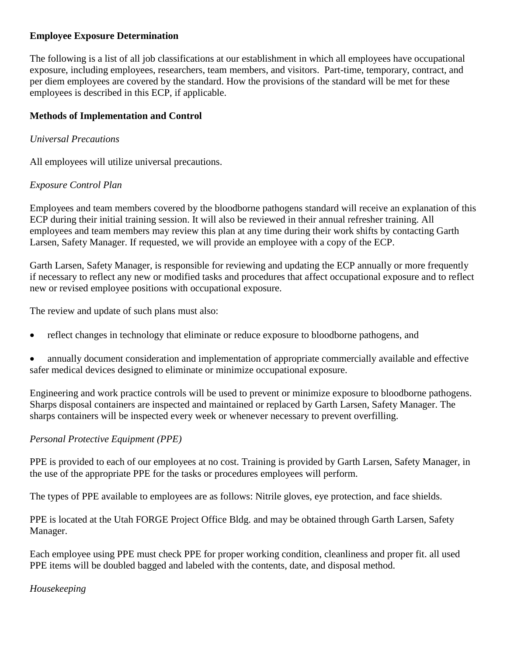# **Employee Exposure Determination**

The following is a list of all job classifications at our establishment in which all employees have occupational exposure, including employees, researchers, team members, and visitors. Part-time, temporary, contract, and per diem employees are covered by the standard. How the provisions of the standard will be met for these employees is described in this ECP, if applicable.

# **Methods of Implementation and Control**

# *Universal Precautions*

All employees will utilize universal precautions.

# *Exposure Control Plan*

Employees and team members covered by the bloodborne pathogens standard will receive an explanation of this ECP during their initial training session. It will also be reviewed in their annual refresher training. All employees and team members may review this plan at any time during their work shifts by contacting Garth Larsen, Safety Manager. If requested, we will provide an employee with a copy of the ECP.

Garth Larsen, Safety Manager, is responsible for reviewing and updating the ECP annually or more frequently if necessary to reflect any new or modified tasks and procedures that affect occupational exposure and to reflect new or revised employee positions with occupational exposure.

The review and update of such plans must also:

- reflect changes in technology that eliminate or reduce exposure to bloodborne pathogens, and
- annually document consideration and implementation of appropriate commercially available and effective safer medical devices designed to eliminate or minimize occupational exposure.

Engineering and work practice controls will be used to prevent or minimize exposure to bloodborne pathogens. Sharps disposal containers are inspected and maintained or replaced by Garth Larsen, Safety Manager. The sharps containers will be inspected every week or whenever necessary to prevent overfilling.

### *Personal Protective Equipment (PPE)*

PPE is provided to each of our employees at no cost. Training is provided by Garth Larsen, Safety Manager, in the use of the appropriate PPE for the tasks or procedures employees will perform.

The types of PPE available to employees are as follows: Nitrile gloves, eye protection, and face shields.

PPE is located at the Utah FORGE Project Office Bldg. and may be obtained through Garth Larsen, Safety Manager.

Each employee using PPE must check PPE for proper working condition, cleanliness and proper fit. all used PPE items will be doubled bagged and labeled with the contents, date, and disposal method.

# *Housekeeping*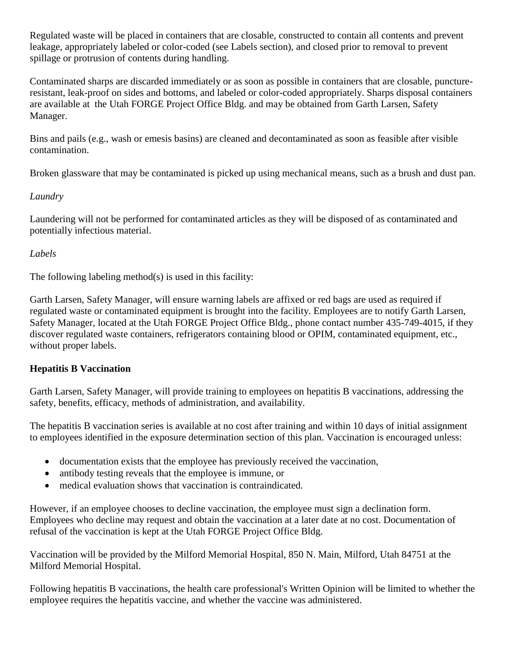Regulated waste will be placed in containers that are closable, constructed to contain all contents and prevent leakage, appropriately labeled or color-coded (see Labels section), and closed prior to removal to prevent spillage or protrusion of contents during handling.

Contaminated sharps are discarded immediately or as soon as possible in containers that are closable, punctureresistant, leak-proof on sides and bottoms, and labeled or color-coded appropriately. Sharps disposal containers are available at the Utah FORGE Project Office Bldg. and may be obtained from Garth Larsen, Safety Manager.

Bins and pails (e.g., wash or emesis basins) are cleaned and decontaminated as soon as feasible after visible contamination.

Broken glassware that may be contaminated is picked up using mechanical means, such as a brush and dust pan.

# *Laundry*

Laundering will not be performed for contaminated articles as they will be disposed of as contaminated and potentially infectious material.

# *Labels*

The following labeling method(s) is used in this facility:

Garth Larsen, Safety Manager, will ensure warning labels are affixed or red bags are used as required if regulated waste or contaminated equipment is brought into the facility. Employees are to notify Garth Larsen, Safety Manager, located at the Utah FORGE Project Office Bldg., phone contact number 435-749-4015, if they discover regulated waste containers, refrigerators containing blood or OPIM, contaminated equipment, etc., without proper labels.

# **Hepatitis B Vaccination**

Garth Larsen, Safety Manager, will provide training to employees on hepatitis B vaccinations, addressing the safety, benefits, efficacy, methods of administration, and availability.

The hepatitis B vaccination series is available at no cost after training and within 10 days of initial assignment to employees identified in the exposure determination section of this plan. Vaccination is encouraged unless:

- documentation exists that the employee has previously received the vaccination,
- antibody testing reveals that the employee is immune, or
- medical evaluation shows that vaccination is contraindicated.

However, if an employee chooses to decline vaccination, the employee must sign a declination form. Employees who decline may request and obtain the vaccination at a later date at no cost. Documentation of refusal of the vaccination is kept at the Utah FORGE Project Office Bldg.

Vaccination will be provided by the Milford Memorial Hospital, 850 N. Main, Milford, Utah 84751 at the Milford Memorial Hospital.

Following hepatitis B vaccinations, the health care professional's Written Opinion will be limited to whether the employee requires the hepatitis vaccine, and whether the vaccine was administered.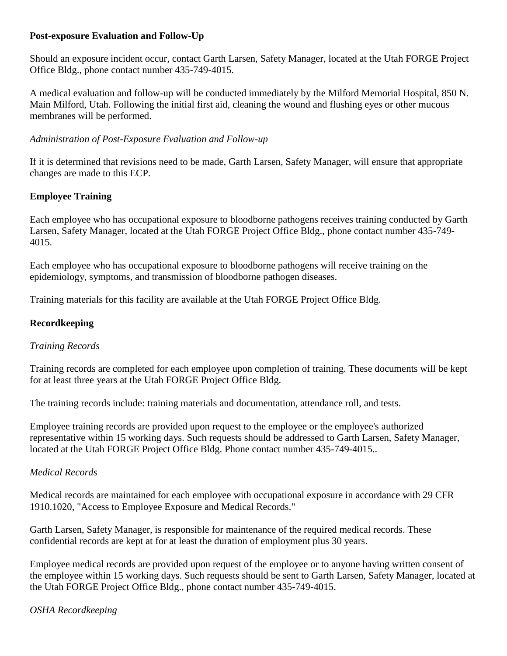# **Post-exposure Evaluation and Follow-Up**

Should an exposure incident occur, contact Garth Larsen, Safety Manager, located at the Utah FORGE Project Office Bldg., phone contact number 435-749-4015.

A medical evaluation and follow-up will be conducted immediately by the Milford Memorial Hospital, 850 N. Main Milford, Utah. Following the initial first aid, cleaning the wound and flushing eyes or other mucous membranes will be performed.

*Administration of Post-Exposure Evaluation and Follow-up*

If it is determined that revisions need to be made, Garth Larsen, Safety Manager, will ensure that appropriate changes are made to this ECP.

# **Employee Training**

Each employee who has occupational exposure to bloodborne pathogens receives training conducted by Garth Larsen, Safety Manager, located at the Utah FORGE Project Office Bldg., phone contact number 435-749- 4015.

Each employee who has occupational exposure to bloodborne pathogens will receive training on the epidemiology, symptoms, and transmission of bloodborne pathogen diseases.

Training materials for this facility are available at the Utah FORGE Project Office Bldg.

# **Recordkeeping**

### *Training Records*

Training records are completed for each employee upon completion of training. These documents will be kept for at least three years at the Utah FORGE Project Office Bldg.

The training records include: training materials and documentation, attendance roll, and tests.

Employee training records are provided upon request to the employee or the employee's authorized representative within 15 working days. Such requests should be addressed to Garth Larsen, Safety Manager, located at the Utah FORGE Project Office Bldg. Phone contact number 435-749-4015..

### *Medical Records*

Medical records are maintained for each employee with occupational exposure in accordance with 29 CFR 1910.1020, "Access to Employee Exposure and Medical Records."

Garth Larsen, Safety Manager, is responsible for maintenance of the required medical records. These confidential records are kept at for at least the duration of employment plus 30 years.

Employee medical records are provided upon request of the employee or to anyone having written consent of the employee within 15 working days. Such requests should be sent to Garth Larsen, Safety Manager, located at the Utah FORGE Project Office Bldg., phone contact number 435-749-4015.

# *OSHA Recordkeeping*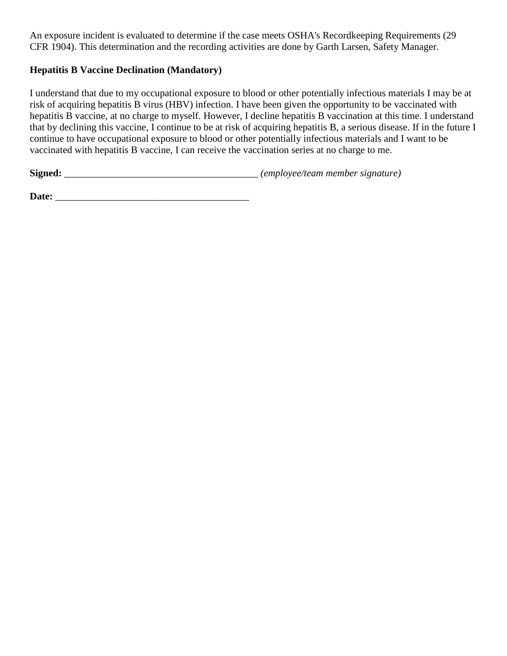An exposure incident is evaluated to determine if the case meets OSHA's Recordkeeping Requirements (29 CFR 1904). This determination and the recording activities are done by Garth Larsen, Safety Manager.

# **Hepatitis B Vaccine Declination (Mandatory)**

I understand that due to my occupational exposure to blood or other potentially infectious materials I may be at risk of acquiring hepatitis B virus (HBV) infection. I have been given the opportunity to be vaccinated with hepatitis B vaccine, at no charge to myself. However, I decline hepatitis B vaccination at this time. I understand that by declining this vaccine, I continue to be at risk of acquiring hepatitis B, a serious disease. If in the future I continue to have occupational exposure to blood or other potentially infectious materials and I want to be vaccinated with hepatitis B vaccine, I can receive the vaccination series at no charge to me.

**Signed:** \_\_\_\_\_\_\_\_\_\_\_\_\_\_\_\_\_\_\_\_\_\_\_\_\_\_\_\_\_\_\_\_\_\_\_\_\_\_\_ *(employee/team member signature)*

Date: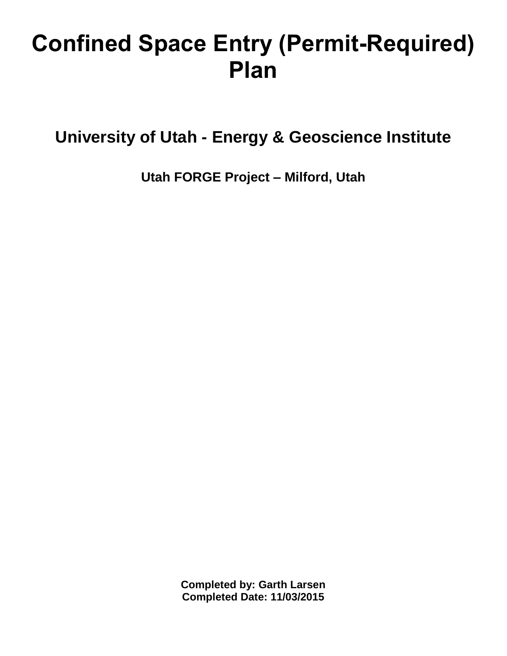# **Confined Space Entry (Permit-Required) Plan**

**University of Utah - Energy & Geoscience Institute**

**Utah FORGE Project – Milford, Utah**

**Completed by: Garth Larsen Completed Date: 11/03/2015**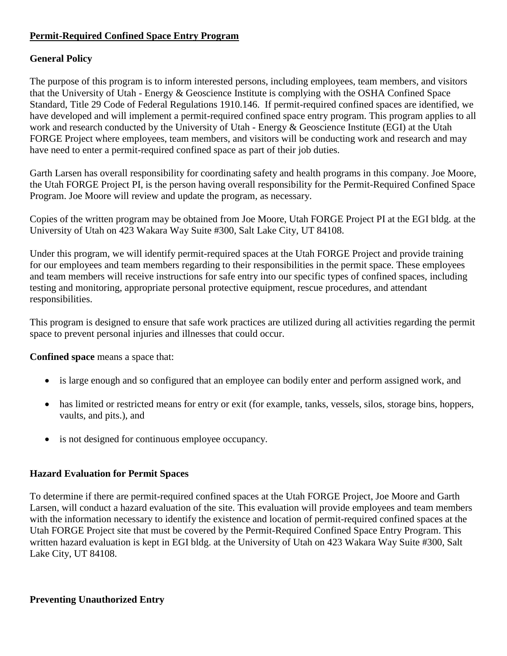# **Permit-Required Confined Space Entry Program**

# **General Policy**

The purpose of this program is to inform interested persons, including employees, team members, and visitors that the University of Utah - Energy & Geoscience Institute is complying with the OSHA Confined Space Standard, Title 29 Code of Federal Regulations 1910.146. If permit-required confined spaces are identified, we have developed and will implement a permit-required confined space entry program. This program applies to all work and research conducted by the University of Utah - Energy & Geoscience Institute (EGI) at the Utah FORGE Project where employees, team members, and visitors will be conducting work and research and may have need to enter a permit-required confined space as part of their job duties.

Garth Larsen has overall responsibility for coordinating safety and health programs in this company. Joe Moore, the Utah FORGE Project PI, is the person having overall responsibility for the Permit-Required Confined Space Program. Joe Moore will review and update the program, as necessary.

Copies of the written program may be obtained from Joe Moore, Utah FORGE Project PI at the EGI bldg. at the University of Utah on 423 Wakara Way Suite #300, Salt Lake City, UT 84108.

Under this program, we will identify permit-required spaces at the Utah FORGE Project and provide training for our employees and team members regarding to their responsibilities in the permit space. These employees and team members will receive instructions for safe entry into our specific types of confined spaces, including testing and monitoring, appropriate personal protective equipment, rescue procedures, and attendant responsibilities.

This program is designed to ensure that safe work practices are utilized during all activities regarding the permit space to prevent personal injuries and illnesses that could occur.

**Confined space** means a space that:

- is large enough and so configured that an employee can bodily enter and perform assigned work, and
- has limited or restricted means for entry or exit (for example, tanks, vessels, silos, storage bins, hoppers, vaults, and pits.), and
- is not designed for continuous employee occupancy.

### **Hazard Evaluation for Permit Spaces**

To determine if there are permit-required confined spaces at the Utah FORGE Project, Joe Moore and Garth Larsen, will conduct a hazard evaluation of the site. This evaluation will provide employees and team members with the information necessary to identify the existence and location of permit-required confined spaces at the Utah FORGE Project site that must be covered by the Permit-Required Confined Space Entry Program. This written hazard evaluation is kept in EGI bldg. at the University of Utah on 423 Wakara Way Suite #300, Salt Lake City, UT 84108.

**Preventing Unauthorized Entry**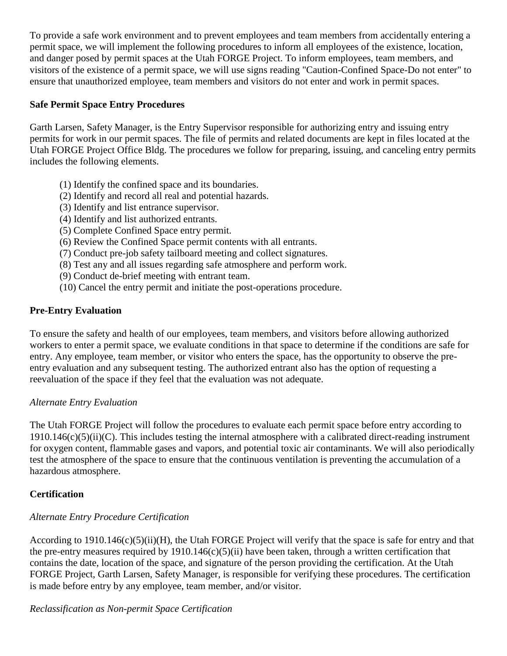To provide a safe work environment and to prevent employees and team members from accidentally entering a permit space, we will implement the following procedures to inform all employees of the existence, location, and danger posed by permit spaces at the Utah FORGE Project. To inform employees, team members, and visitors of the existence of a permit space, we will use signs reading "Caution-Confined Space-Do not enter" to ensure that unauthorized employee, team members and visitors do not enter and work in permit spaces.

# **Safe Permit Space Entry Procedures**

Garth Larsen, Safety Manager, is the Entry Supervisor responsible for authorizing entry and issuing entry permits for work in our permit spaces. The file of permits and related documents are kept in files located at the Utah FORGE Project Office Bldg. The procedures we follow for preparing, issuing, and canceling entry permits includes the following elements.

- (1) Identify the confined space and its boundaries.
- (2) Identify and record all real and potential hazards.
- (3) Identify and list entrance supervisor.
- (4) Identify and list authorized entrants.
- (5) Complete Confined Space entry permit.
- (6) Review the Confined Space permit contents with all entrants.
- (7) Conduct pre-job safety tailboard meeting and collect signatures.
- (8) Test any and all issues regarding safe atmosphere and perform work.
- (9) Conduct de-brief meeting with entrant team.
- (10) Cancel the entry permit and initiate the post-operations procedure.

# **Pre-Entry Evaluation**

To ensure the safety and health of our employees, team members, and visitors before allowing authorized workers to enter a permit space, we evaluate conditions in that space to determine if the conditions are safe for entry. Any employee, team member, or visitor who enters the space, has the opportunity to observe the preentry evaluation and any subsequent testing. The authorized entrant also has the option of requesting a reevaluation of the space if they feel that the evaluation was not adequate.

### *Alternate Entry Evaluation*

The Utah FORGE Project will follow the procedures to evaluate each permit space before entry according to  $1910.146(c)(5)(ii)(C)$ . This includes testing the internal atmosphere with a calibrated direct-reading instrument for oxygen content, flammable gases and vapors, and potential toxic air contaminants. We will also periodically test the atmosphere of the space to ensure that the continuous ventilation is preventing the accumulation of a hazardous atmosphere.

### **Certification**

### *Alternate Entry Procedure Certification*

According to  $1910.146(c)(5)(ii)(H)$ , the Utah FORGE Project will verify that the space is safe for entry and that the pre-entry measures required by 1910.146 $(c)(5)(ii)$  have been taken, through a written certification that contains the date, location of the space, and signature of the person providing the certification. At the Utah FORGE Project, Garth Larsen, Safety Manager, is responsible for verifying these procedures. The certification is made before entry by any employee, team member, and/or visitor.

# *Reclassification as Non-permit Space Certification*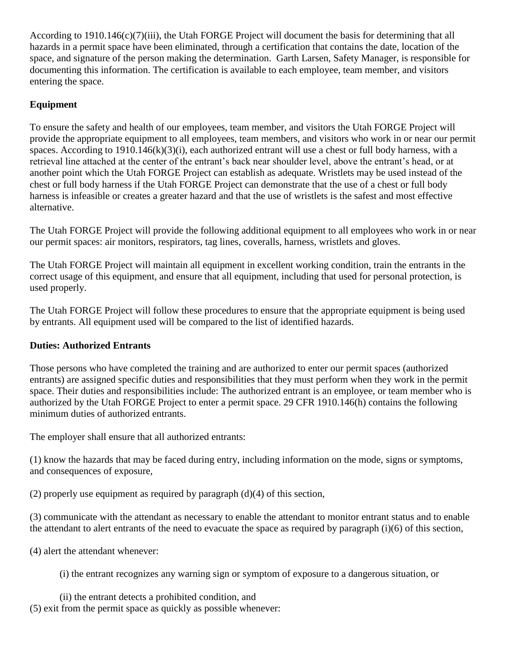According to 1910.146(c)(7)(iii), the Utah FORGE Project will document the basis for determining that all hazards in a permit space have been eliminated, through a certification that contains the date, location of the space, and signature of the person making the determination. Garth Larsen, Safety Manager, is responsible for documenting this information. The certification is available to each employee, team member, and visitors entering the space.

# **Equipment**

To ensure the safety and health of our employees, team member, and visitors the Utah FORGE Project will provide the appropriate equipment to all employees, team members, and visitors who work in or near our permit spaces. According to 1910.146(k)(3)(i), each authorized entrant will use a chest or full body harness, with a retrieval line attached at the center of the entrant's back near shoulder level, above the entrant's head, or at another point which the Utah FORGE Project can establish as adequate. Wristlets may be used instead of the chest or full body harness if the Utah FORGE Project can demonstrate that the use of a chest or full body harness is infeasible or creates a greater hazard and that the use of wristlets is the safest and most effective alternative.

The Utah FORGE Project will provide the following additional equipment to all employees who work in or near our permit spaces: air monitors, respirators, tag lines, coveralls, harness, wristlets and gloves.

The Utah FORGE Project will maintain all equipment in excellent working condition, train the entrants in the correct usage of this equipment, and ensure that all equipment, including that used for personal protection, is used properly.

The Utah FORGE Project will follow these procedures to ensure that the appropriate equipment is being used by entrants. All equipment used will be compared to the list of identified hazards.

# **Duties: Authorized Entrants**

Those persons who have completed the training and are authorized to enter our permit spaces (authorized entrants) are assigned specific duties and responsibilities that they must perform when they work in the permit space. Their duties and responsibilities include: The authorized entrant is an employee, or team member who is authorized by the Utah FORGE Project to enter a permit space. 29 CFR 1910.146(h) contains the following minimum duties of authorized entrants.

The employer shall ensure that all authorized entrants:

(1) know the hazards that may be faced during entry, including information on the mode, signs or symptoms, and consequences of exposure,

(2) properly use equipment as required by paragraph (d)(4) of this section,

(3) communicate with the attendant as necessary to enable the attendant to monitor entrant status and to enable the attendant to alert entrants of the need to evacuate the space as required by paragraph (i)(6) of this section,

(4) alert the attendant whenever:

(i) the entrant recognizes any warning sign or symptom of exposure to a dangerous situation, or

(ii) the entrant detects a prohibited condition, and

(5) exit from the permit space as quickly as possible whenever: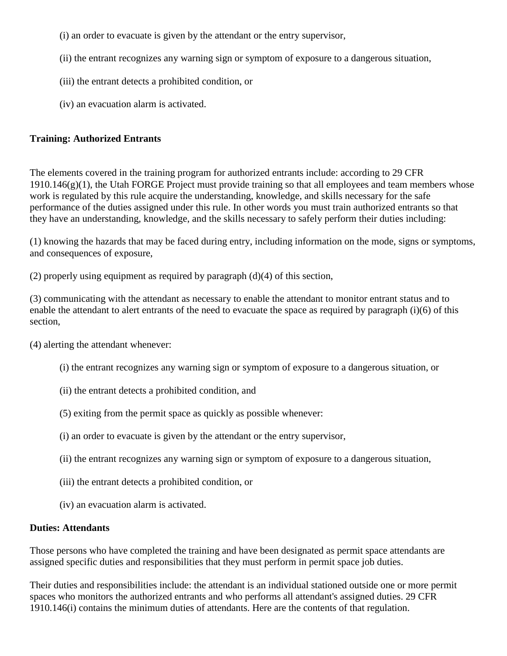- (i) an order to evacuate is given by the attendant or the entry supervisor,
- (ii) the entrant recognizes any warning sign or symptom of exposure to a dangerous situation,
- (iii) the entrant detects a prohibited condition, or
- (iv) an evacuation alarm is activated.

# **Training: Authorized Entrants**

The elements covered in the training program for authorized entrants include: according to 29 CFR  $1910.146(g)(1)$ , the Utah FORGE Project must provide training so that all employees and team members whose work is regulated by this rule acquire the understanding, knowledge, and skills necessary for the safe performance of the duties assigned under this rule. In other words you must train authorized entrants so that they have an understanding, knowledge, and the skills necessary to safely perform their duties including:

(1) knowing the hazards that may be faced during entry, including information on the mode, signs or symptoms, and consequences of exposure,

(2) properly using equipment as required by paragraph (d)(4) of this section,

(3) communicating with the attendant as necessary to enable the attendant to monitor entrant status and to enable the attendant to alert entrants of the need to evacuate the space as required by paragraph (i)(6) of this section,

(4) alerting the attendant whenever:

- (i) the entrant recognizes any warning sign or symptom of exposure to a dangerous situation, or
- (ii) the entrant detects a prohibited condition, and
- (5) exiting from the permit space as quickly as possible whenever:
- (i) an order to evacuate is given by the attendant or the entry supervisor,
- (ii) the entrant recognizes any warning sign or symptom of exposure to a dangerous situation,
- (iii) the entrant detects a prohibited condition, or
- (iv) an evacuation alarm is activated.

### **Duties: Attendants**

Those persons who have completed the training and have been designated as permit space attendants are assigned specific duties and responsibilities that they must perform in permit space job duties.

Their duties and responsibilities include: the attendant is an individual stationed outside one or more permit spaces who monitors the authorized entrants and who performs all attendant's assigned duties. 29 CFR 1910.146(i) contains the minimum duties of attendants. Here are the contents of that regulation.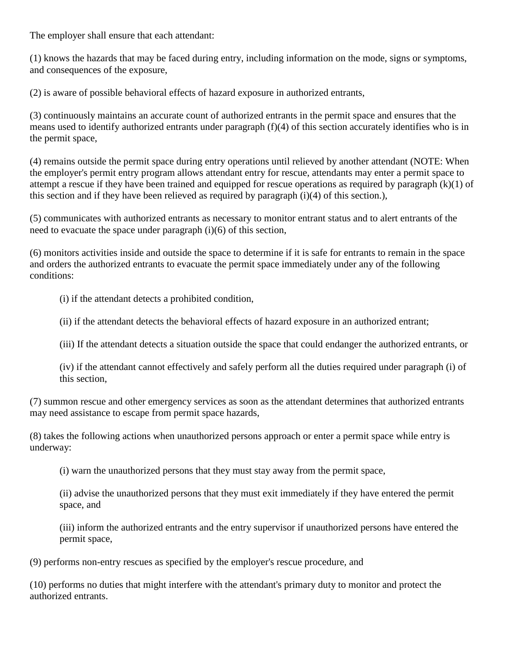The employer shall ensure that each attendant:

(1) knows the hazards that may be faced during entry, including information on the mode, signs or symptoms, and consequences of the exposure,

(2) is aware of possible behavioral effects of hazard exposure in authorized entrants,

(3) continuously maintains an accurate count of authorized entrants in the permit space and ensures that the means used to identify authorized entrants under paragraph (f)(4) of this section accurately identifies who is in the permit space,

(4) remains outside the permit space during entry operations until relieved by another attendant (NOTE: When the employer's permit entry program allows attendant entry for rescue, attendants may enter a permit space to attempt a rescue if they have been trained and equipped for rescue operations as required by paragraph (k)(1) of this section and if they have been relieved as required by paragraph (i)(4) of this section.),

(5) communicates with authorized entrants as necessary to monitor entrant status and to alert entrants of the need to evacuate the space under paragraph (i)(6) of this section,

(6) monitors activities inside and outside the space to determine if it is safe for entrants to remain in the space and orders the authorized entrants to evacuate the permit space immediately under any of the following conditions:

(i) if the attendant detects a prohibited condition,

(ii) if the attendant detects the behavioral effects of hazard exposure in an authorized entrant;

(iii) If the attendant detects a situation outside the space that could endanger the authorized entrants, or

(iv) if the attendant cannot effectively and safely perform all the duties required under paragraph (i) of this section,

(7) summon rescue and other emergency services as soon as the attendant determines that authorized entrants may need assistance to escape from permit space hazards,

(8) takes the following actions when unauthorized persons approach or enter a permit space while entry is underway:

(i) warn the unauthorized persons that they must stay away from the permit space,

(ii) advise the unauthorized persons that they must exit immediately if they have entered the permit space, and

(iii) inform the authorized entrants and the entry supervisor if unauthorized persons have entered the permit space,

(9) performs non-entry rescues as specified by the employer's rescue procedure, and

(10) performs no duties that might interfere with the attendant's primary duty to monitor and protect the authorized entrants.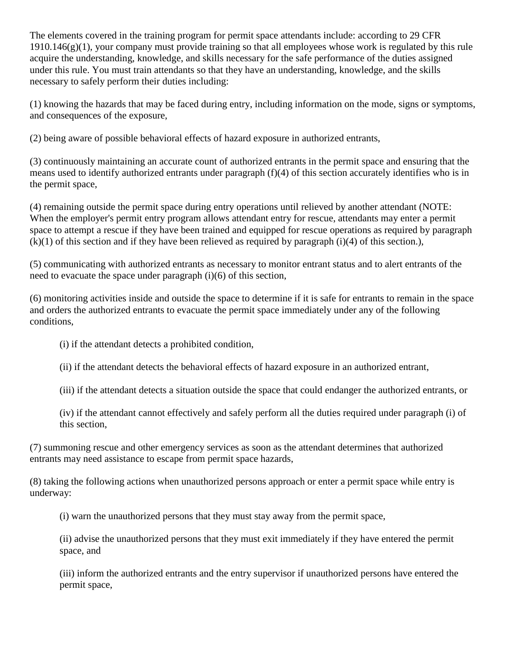The elements covered in the training program for permit space attendants include: according to 29 CFR  $1910.146(g)(1)$ , your company must provide training so that all employees whose work is regulated by this rule acquire the understanding, knowledge, and skills necessary for the safe performance of the duties assigned under this rule. You must train attendants so that they have an understanding, knowledge, and the skills necessary to safely perform their duties including:

(1) knowing the hazards that may be faced during entry, including information on the mode, signs or symptoms, and consequences of the exposure,

(2) being aware of possible behavioral effects of hazard exposure in authorized entrants,

(3) continuously maintaining an accurate count of authorized entrants in the permit space and ensuring that the means used to identify authorized entrants under paragraph (f)(4) of this section accurately identifies who is in the permit space,

(4) remaining outside the permit space during entry operations until relieved by another attendant (NOTE: When the employer's permit entry program allows attendant entry for rescue, attendants may enter a permit space to attempt a rescue if they have been trained and equipped for rescue operations as required by paragraph  $(k)(1)$  of this section and if they have been relieved as required by paragraph  $(i)(4)$  of this section.),

(5) communicating with authorized entrants as necessary to monitor entrant status and to alert entrants of the need to evacuate the space under paragraph (i)(6) of this section,

(6) monitoring activities inside and outside the space to determine if it is safe for entrants to remain in the space and orders the authorized entrants to evacuate the permit space immediately under any of the following conditions,

- (i) if the attendant detects a prohibited condition,
- (ii) if the attendant detects the behavioral effects of hazard exposure in an authorized entrant,

(iii) if the attendant detects a situation outside the space that could endanger the authorized entrants, or

(iv) if the attendant cannot effectively and safely perform all the duties required under paragraph (i) of this section,

(7) summoning rescue and other emergency services as soon as the attendant determines that authorized entrants may need assistance to escape from permit space hazards,

(8) taking the following actions when unauthorized persons approach or enter a permit space while entry is underway:

(i) warn the unauthorized persons that they must stay away from the permit space,

(ii) advise the unauthorized persons that they must exit immediately if they have entered the permit space, and

(iii) inform the authorized entrants and the entry supervisor if unauthorized persons have entered the permit space,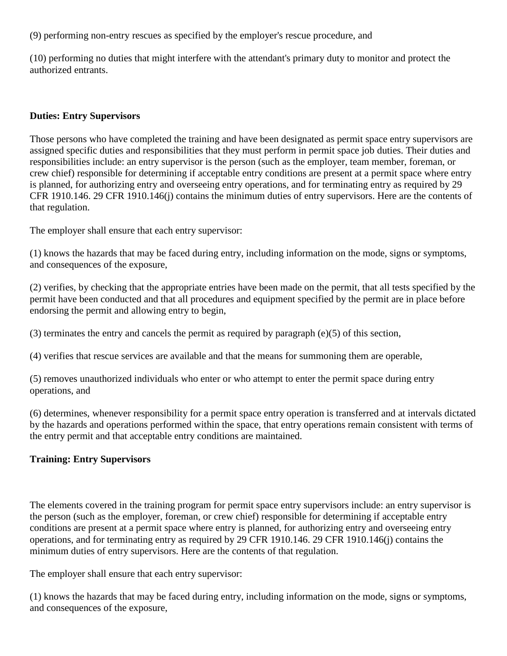(9) performing non-entry rescues as specified by the employer's rescue procedure, and

(10) performing no duties that might interfere with the attendant's primary duty to monitor and protect the authorized entrants.

# **Duties: Entry Supervisors**

Those persons who have completed the training and have been designated as permit space entry supervisors are assigned specific duties and responsibilities that they must perform in permit space job duties. Their duties and responsibilities include: an entry supervisor is the person (such as the employer, team member, foreman, or crew chief) responsible for determining if acceptable entry conditions are present at a permit space where entry is planned, for authorizing entry and overseeing entry operations, and for terminating entry as required by 29 CFR 1910.146. 29 CFR 1910.146(j) contains the minimum duties of entry supervisors. Here are the contents of that regulation.

The employer shall ensure that each entry supervisor:

(1) knows the hazards that may be faced during entry, including information on the mode, signs or symptoms, and consequences of the exposure,

(2) verifies, by checking that the appropriate entries have been made on the permit, that all tests specified by the permit have been conducted and that all procedures and equipment specified by the permit are in place before endorsing the permit and allowing entry to begin,

(3) terminates the entry and cancels the permit as required by paragraph (e)(5) of this section,

(4) verifies that rescue services are available and that the means for summoning them are operable,

(5) removes unauthorized individuals who enter or who attempt to enter the permit space during entry operations, and

(6) determines, whenever responsibility for a permit space entry operation is transferred and at intervals dictated by the hazards and operations performed within the space, that entry operations remain consistent with terms of the entry permit and that acceptable entry conditions are maintained.

### **Training: Entry Supervisors**

The elements covered in the training program for permit space entry supervisors include: an entry supervisor is the person (such as the employer, foreman, or crew chief) responsible for determining if acceptable entry conditions are present at a permit space where entry is planned, for authorizing entry and overseeing entry operations, and for terminating entry as required by 29 CFR 1910.146. 29 CFR 1910.146(j) contains the minimum duties of entry supervisors. Here are the contents of that regulation.

The employer shall ensure that each entry supervisor:

(1) knows the hazards that may be faced during entry, including information on the mode, signs or symptoms, and consequences of the exposure,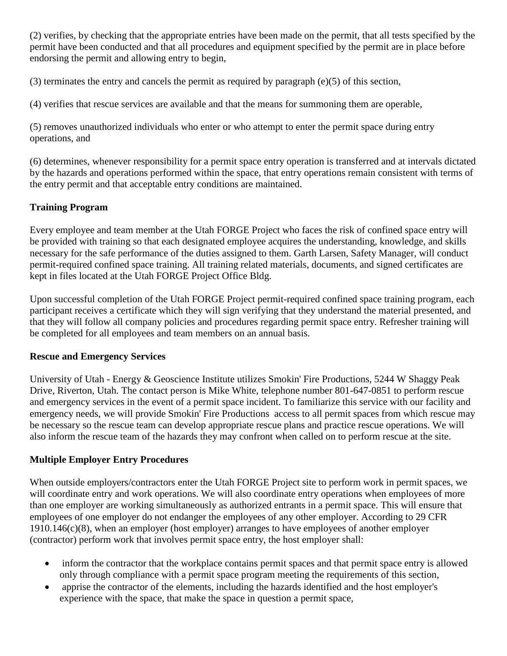(2) verifies, by checking that the appropriate entries have been made on the permit, that all tests specified by the permit have been conducted and that all procedures and equipment specified by the permit are in place before endorsing the permit and allowing entry to begin,

(3) terminates the entry and cancels the permit as required by paragraph (e)(5) of this section,

(4) verifies that rescue services are available and that the means for summoning them are operable,

(5) removes unauthorized individuals who enter or who attempt to enter the permit space during entry operations, and

(6) determines, whenever responsibility for a permit space entry operation is transferred and at intervals dictated by the hazards and operations performed within the space, that entry operations remain consistent with terms of the entry permit and that acceptable entry conditions are maintained.

# **Training Program**

Every employee and team member at the Utah FORGE Project who faces the risk of confined space entry will be provided with training so that each designated employee acquires the understanding, knowledge, and skills necessary for the safe performance of the duties assigned to them. Garth Larsen, Safety Manager, will conduct permit-required confined space training. All training related materials, documents, and signed certificates are kept in files located at the Utah FORGE Project Office Bldg.

Upon successful completion of the Utah FORGE Project permit-required confined space training program, each participant receives a certificate which they will sign verifying that they understand the material presented, and that they will follow all company policies and procedures regarding permit space entry. Refresher training will be completed for all employees and team members on an annual basis.

### **Rescue and Emergency Services**

University of Utah - Energy & Geoscience Institute utilizes Smokin' Fire Productions, 5244 W Shaggy Peak Drive, Riverton, Utah. The contact person is Mike White, telephone number 801-647-0851 to perform rescue and emergency services in the event of a permit space incident. To familiarize this service with our facility and emergency needs, we will provide Smokin' Fire Productions access to all permit spaces from which rescue may be necessary so the rescue team can develop appropriate rescue plans and practice rescue operations. We will also inform the rescue team of the hazards they may confront when called on to perform rescue at the site.

# **Multiple Employer Entry Procedures**

When outside employers/contractors enter the Utah FORGE Project site to perform work in permit spaces, we will coordinate entry and work operations. We will also coordinate entry operations when employees of more than one employer are working simultaneously as authorized entrants in a permit space. This will ensure that employees of one employer do not endanger the employees of any other employer. According to 29 CFR 1910.146(c)(8), when an employer (host employer) arranges to have employees of another employer (contractor) perform work that involves permit space entry, the host employer shall:

- inform the contractor that the workplace contains permit spaces and that permit space entry is allowed only through compliance with a permit space program meeting the requirements of this section,
- apprise the contractor of the elements, including the hazards identified and the host employer's experience with the space, that make the space in question a permit space,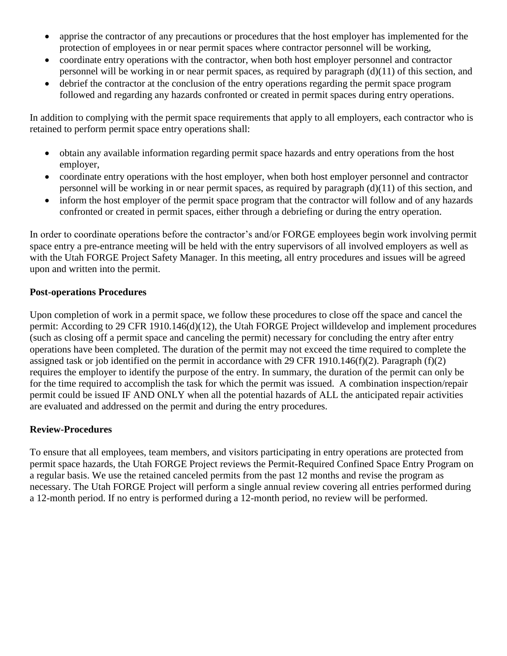- apprise the contractor of any precautions or procedures that the host employer has implemented for the protection of employees in or near permit spaces where contractor personnel will be working,
- coordinate entry operations with the contractor, when both host employer personnel and contractor personnel will be working in or near permit spaces, as required by paragraph (d)(11) of this section, and
- debrief the contractor at the conclusion of the entry operations regarding the permit space program followed and regarding any hazards confronted or created in permit spaces during entry operations.

In addition to complying with the permit space requirements that apply to all employers, each contractor who is retained to perform permit space entry operations shall:

- obtain any available information regarding permit space hazards and entry operations from the host employer,
- coordinate entry operations with the host employer, when both host employer personnel and contractor personnel will be working in or near permit spaces, as required by paragraph (d)(11) of this section, and
- inform the host employer of the permit space program that the contractor will follow and of any hazards confronted or created in permit spaces, either through a debriefing or during the entry operation.

In order to coordinate operations before the contractor's and/or FORGE employees begin work involving permit space entry a pre-entrance meeting will be held with the entry supervisors of all involved employers as well as with the Utah FORGE Project Safety Manager. In this meeting, all entry procedures and issues will be agreed upon and written into the permit.

#### **Post-operations Procedures**

Upon completion of work in a permit space, we follow these procedures to close off the space and cancel the permit: According to 29 CFR 1910.146(d)(12), the Utah FORGE Project willdevelop and implement procedures (such as closing off a permit space and canceling the permit) necessary for concluding the entry after entry operations have been completed. The duration of the permit may not exceed the time required to complete the assigned task or job identified on the permit in accordance with 29 CFR 1910.146(f)(2). Paragraph (f)(2) requires the employer to identify the purpose of the entry. In summary, the duration of the permit can only be for the time required to accomplish the task for which the permit was issued. A combination inspection/repair permit could be issued IF AND ONLY when all the potential hazards of ALL the anticipated repair activities are evaluated and addressed on the permit and during the entry procedures.

### **Review-Procedures**

To ensure that all employees, team members, and visitors participating in entry operations are protected from permit space hazards, the Utah FORGE Project reviews the Permit-Required Confined Space Entry Program on a regular basis. We use the retained canceled permits from the past 12 months and revise the program as necessary. The Utah FORGE Project will perform a single annual review covering all entries performed during a 12-month period. If no entry is performed during a 12-month period, no review will be performed.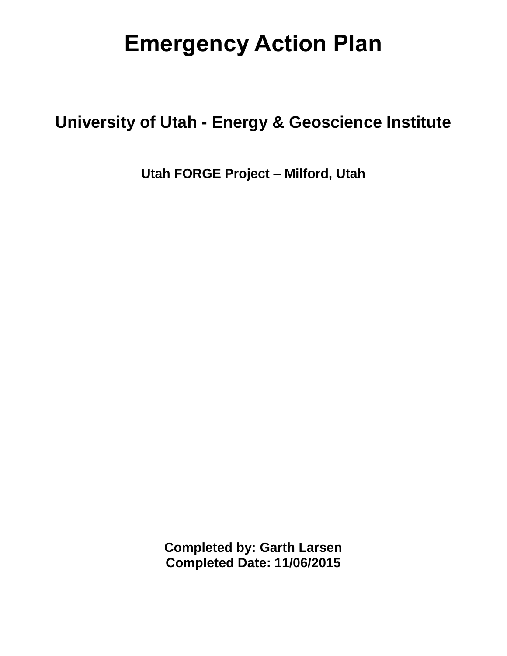# **Emergency Action Plan**

**University of Utah - Energy & Geoscience Institute**

**Utah FORGE Project – Milford, Utah**

**Completed by: Garth Larsen Completed Date: 11/06/2015**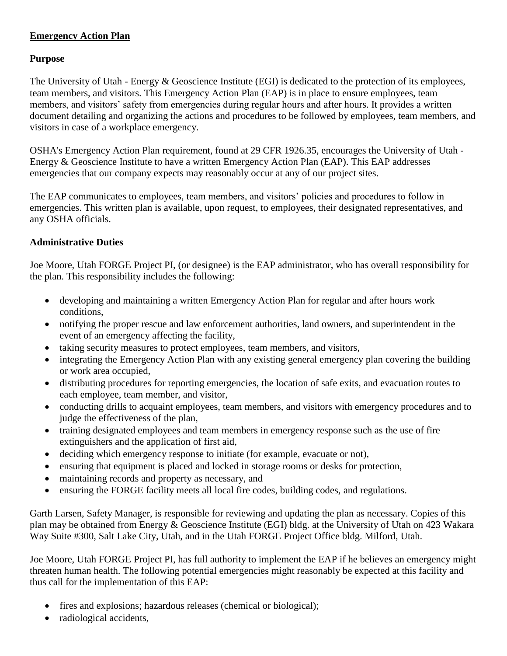# **Emergency Action Plan**

# **Purpose**

The University of Utah - Energy & Geoscience Institute (EGI) is dedicated to the protection of its employees, team members, and visitors. This Emergency Action Plan (EAP) is in place to ensure employees, team members, and visitors' safety from emergencies during regular hours and after hours. It provides a written document detailing and organizing the actions and procedures to be followed by employees, team members, and visitors in case of a workplace emergency.

OSHA's Emergency Action Plan requirement, found at 29 CFR 1926.35, encourages the University of Utah - Energy & Geoscience Institute to have a written Emergency Action Plan (EAP). This EAP addresses emergencies that our company expects may reasonably occur at any of our project sites.

The EAP communicates to employees, team members, and visitors' policies and procedures to follow in emergencies. This written plan is available, upon request, to employees, their designated representatives, and any OSHA officials.

# **Administrative Duties**

Joe Moore, Utah FORGE Project PI, (or designee) is the EAP administrator, who has overall responsibility for the plan. This responsibility includes the following:

- developing and maintaining a written Emergency Action Plan for regular and after hours work conditions,
- notifying the proper rescue and law enforcement authorities, land owners, and superintendent in the event of an emergency affecting the facility,
- taking security measures to protect employees, team members, and visitors,
- integrating the Emergency Action Plan with any existing general emergency plan covering the building or work area occupied,
- distributing procedures for reporting emergencies, the location of safe exits, and evacuation routes to each employee, team member, and visitor,
- conducting drills to acquaint employees, team members, and visitors with emergency procedures and to judge the effectiveness of the plan,
- training designated employees and team members in emergency response such as the use of fire extinguishers and the application of first aid,
- deciding which emergency response to initiate (for example, evacuate or not),
- ensuring that equipment is placed and locked in storage rooms or desks for protection,
- maintaining records and property as necessary, and
- ensuring the FORGE facility meets all local fire codes, building codes, and regulations.

Garth Larsen, Safety Manager, is responsible for reviewing and updating the plan as necessary. Copies of this plan may be obtained from Energy & Geoscience Institute (EGI) bldg. at the University of Utah on 423 Wakara Way Suite #300, Salt Lake City, Utah, and in the Utah FORGE Project Office bldg. Milford, Utah.

Joe Moore, Utah FORGE Project PI, has full authority to implement the EAP if he believes an emergency might threaten human health. The following potential emergencies might reasonably be expected at this facility and thus call for the implementation of this EAP:

- fires and explosions; hazardous releases (chemical or biological);
- radiological accidents,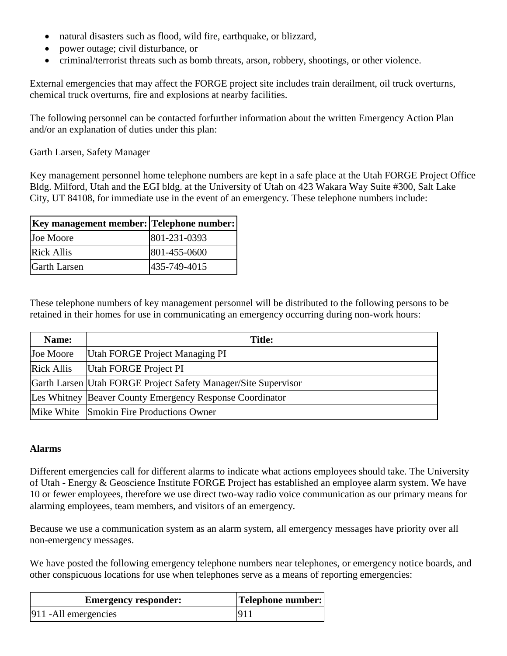- natural disasters such as flood, wild fire, earthquake, or blizzard,
- power outage; civil disturbance, or
- criminal/terrorist threats such as bomb threats, arson, robbery, shootings, or other violence.

External emergencies that may affect the FORGE project site includes train derailment, oil truck overturns, chemical truck overturns, fire and explosions at nearby facilities.

The following personnel can be contacted forfurther information about the written Emergency Action Plan and/or an explanation of duties under this plan:

Garth Larsen, Safety Manager

Key management personnel home telephone numbers are kept in a safe place at the Utah FORGE Project Office Bldg. Milford, Utah and the EGI bldg. at the University of Utah on 423 Wakara Way Suite #300, Salt Lake City, UT 84108, for immediate use in the event of an emergency. These telephone numbers include:

| Key management member: Telephone number: |              |
|------------------------------------------|--------------|
| Joe Moore                                | 801-231-0393 |
| <b>Rick Allis</b>                        | 801-455-0600 |
| Garth Larsen                             | 435-749-4015 |

These telephone numbers of key management personnel will be distributed to the following persons to be retained in their homes for use in communicating an emergency occurring during non-work hours:

| Name:             | <b>Title:</b>                                                  |  |
|-------------------|----------------------------------------------------------------|--|
| Joe Moore         | <b>Utah FORGE Project Managing PI</b>                          |  |
| <b>Rick Allis</b> | Utah FORGE Project PI                                          |  |
|                   | Garth Larsen Utah FORGE Project Safety Manager/Site Supervisor |  |
|                   | Les Whitney Beaver County Emergency Response Coordinator       |  |
|                   | Mike White Smokin Fire Productions Owner                       |  |

### **Alarms**

Different emergencies call for different alarms to indicate what actions employees should take. The University of Utah - Energy & Geoscience Institute FORGE Project has established an employee alarm system. We have 10 or fewer employees, therefore we use direct two-way radio voice communication as our primary means for alarming employees, team members, and visitors of an emergency.

Because we use a communication system as an alarm system, all emergency messages have priority over all non-emergency messages.

We have posted the following emergency telephone numbers near telephones, or emergency notice boards, and other conspicuous locations for use when telephones serve as a means of reporting emergencies:

| <b>Emergency responder:</b> | Telephone number: |
|-----------------------------|-------------------|
| $ 911 - All$ emergencies    | IQ 1              |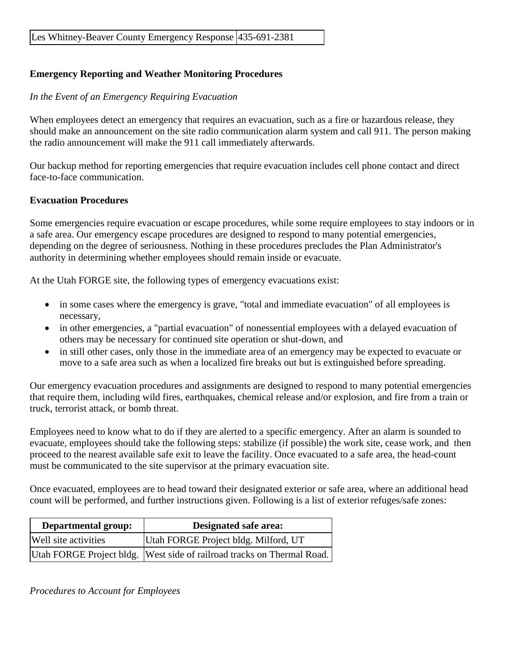# **Emergency Reporting and Weather Monitoring Procedures**

#### *In the Event of an Emergency Requiring Evacuation*

When employees detect an emergency that requires an evacuation, such as a fire or hazardous release, they should make an announcement on the site radio communication alarm system and call 911. The person making the radio announcement will make the 911 call immediately afterwards.

Our backup method for reporting emergencies that require evacuation includes cell phone contact and direct face-to-face communication.

#### **Evacuation Procedures**

Some emergencies require evacuation or escape procedures, while some require employees to stay indoors or in a safe area. Our emergency escape procedures are designed to respond to many potential emergencies, depending on the degree of seriousness. Nothing in these procedures precludes the Plan Administrator's authority in determining whether employees should remain inside or evacuate.

At the Utah FORGE site, the following types of emergency evacuations exist:

- in some cases where the emergency is grave, "total and immediate evacuation" of all employees is necessary,
- in other emergencies, a "partial evacuation" of nonessential employees with a delayed evacuation of others may be necessary for continued site operation or shut-down, and
- in still other cases, only those in the immediate area of an emergency may be expected to evacuate or move to a safe area such as when a localized fire breaks out but is extinguished before spreading.

Our emergency evacuation procedures and assignments are designed to respond to many potential emergencies that require them, including wild fires, earthquakes, chemical release and/or explosion, and fire from a train or truck, terrorist attack, or bomb threat.

Employees need to know what to do if they are alerted to a specific emergency. After an alarm is sounded to evacuate, employees should take the following steps: stabilize (if possible) the work site, cease work, and then proceed to the nearest available safe exit to leave the facility. Once evacuated to a safe area, the head-count must be communicated to the site supervisor at the primary evacuation site.

Once evacuated, employees are to head toward their designated exterior or safe area, where an additional head count will be performed, and further instructions given. Following is a list of exterior refuges/safe zones:

| <b>Departmental group:</b> | Designated safe area:                                                  |
|----------------------------|------------------------------------------------------------------------|
| Well site activities       | Utah FORGE Project bldg. Milford, UT                                   |
|                            | Utah FORGE Project bldg. West side of railroad tracks on Thermal Road. |

*Procedures to Account for Employees*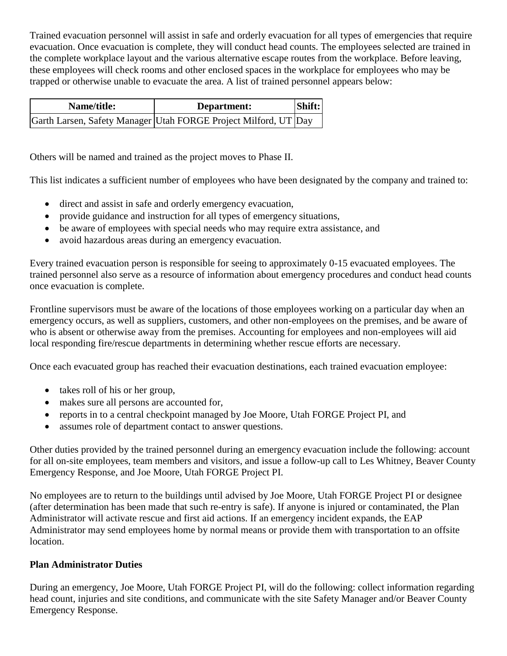Trained evacuation personnel will assist in safe and orderly evacuation for all types of emergencies that require evacuation. Once evacuation is complete, they will conduct head counts. The employees selected are trained in the complete workplace layout and the various alternative escape routes from the workplace. Before leaving, these employees will check rooms and other enclosed spaces in the workplace for employees who may be trapped or otherwise unable to evacuate the area. A list of trained personnel appears below:

| Name/title: | Department:                                                     | Shift: |
|-------------|-----------------------------------------------------------------|--------|
|             | Garth Larsen, Safety Manager Utah FORGE Project Milford, UT Day |        |

Others will be named and trained as the project moves to Phase II.

This list indicates a sufficient number of employees who have been designated by the company and trained to:

- direct and assist in safe and orderly emergency evacuation,
- provide guidance and instruction for all types of emergency situations,
- be aware of employees with special needs who may require extra assistance, and
- avoid hazardous areas during an emergency evacuation.

Every trained evacuation person is responsible for seeing to approximately 0-15 evacuated employees. The trained personnel also serve as a resource of information about emergency procedures and conduct head counts once evacuation is complete.

Frontline supervisors must be aware of the locations of those employees working on a particular day when an emergency occurs, as well as suppliers, customers, and other non-employees on the premises, and be aware of who is absent or otherwise away from the premises. Accounting for employees and non-employees will aid local responding fire/rescue departments in determining whether rescue efforts are necessary.

Once each evacuated group has reached their evacuation destinations, each trained evacuation employee:

- takes roll of his or her group,
- makes sure all persons are accounted for,
- reports in to a central checkpoint managed by Joe Moore, Utah FORGE Project PI, and
- assumes role of department contact to answer questions.

Other duties provided by the trained personnel during an emergency evacuation include the following: account for all on-site employees, team members and visitors, and issue a follow-up call to Les Whitney, Beaver County Emergency Response, and Joe Moore, Utah FORGE Project PI.

No employees are to return to the buildings until advised by Joe Moore, Utah FORGE Project PI or designee (after determination has been made that such re-entry is safe). If anyone is injured or contaminated, the Plan Administrator will activate rescue and first aid actions. If an emergency incident expands, the EAP Administrator may send employees home by normal means or provide them with transportation to an offsite location.

# **Plan Administrator Duties**

During an emergency, Joe Moore, Utah FORGE Project PI, will do the following: collect information regarding head count, injuries and site conditions, and communicate with the site Safety Manager and/or Beaver County Emergency Response.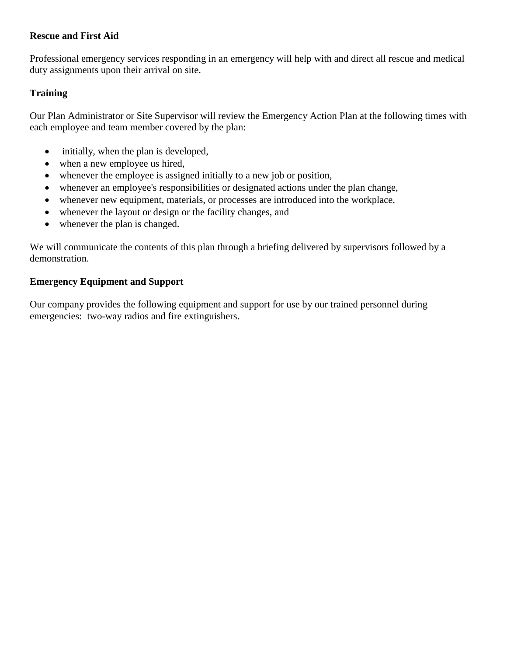# **Rescue and First Aid**

Professional emergency services responding in an emergency will help with and direct all rescue and medical duty assignments upon their arrival on site.

# **Training**

Our Plan Administrator or Site Supervisor will review the Emergency Action Plan at the following times with each employee and team member covered by the plan:

- initially, when the plan is developed,
- when a new employee us hired,
- whenever the employee is assigned initially to a new job or position,
- whenever an employee's responsibilities or designated actions under the plan change,
- whenever new equipment, materials, or processes are introduced into the workplace,
- whenever the layout or design or the facility changes, and
- whenever the plan is changed.

We will communicate the contents of this plan through a briefing delivered by supervisors followed by a demonstration.

# **Emergency Equipment and Support**

Our company provides the following equipment and support for use by our trained personnel during emergencies: two-way radios and fire extinguishers.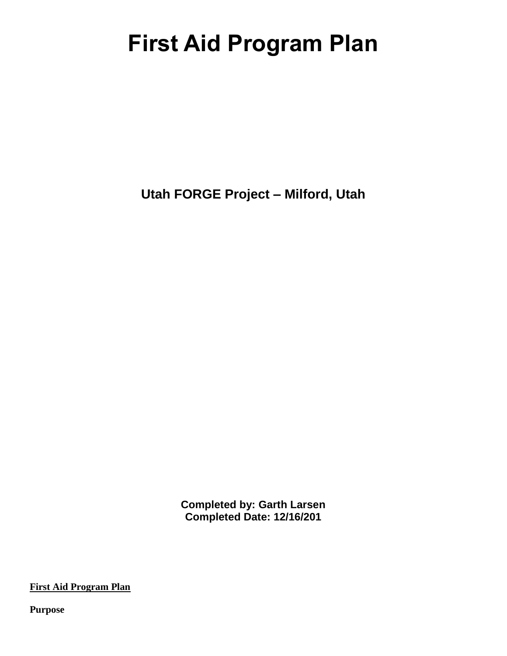# **First Aid Program Plan**

**Utah FORGE Project – Milford, Utah**

**Completed by: Garth Larsen Completed Date: 12/16/201**

**First Aid Program Plan**

**Purpose**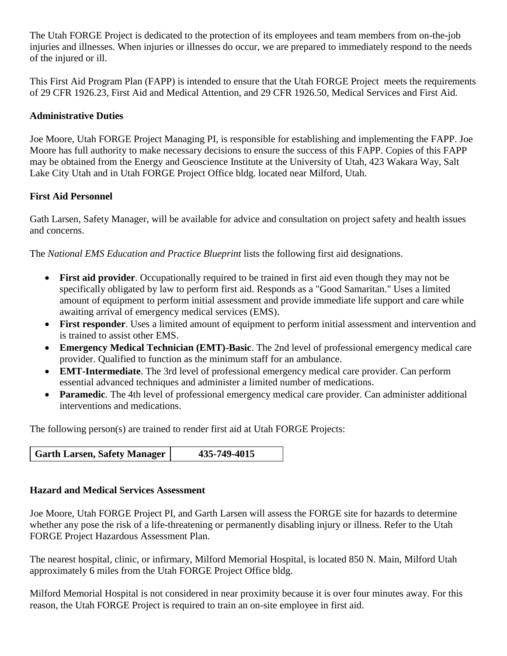The Utah FORGE Project is dedicated to the protection of its employees and team members from on-the-job injuries and illnesses. When injuries or illnesses do occur, we are prepared to immediately respond to the needs of the injured or ill.

This First Aid Program Plan (FAPP) is intended to ensure that the Utah FORGE Project meets the requirements of 29 CFR 1926.23, First Aid and Medical Attention, and 29 CFR 1926.50, Medical Services and First Aid.

# **Administrative Duties**

Joe Moore, Utah FORGE Project Managing PI, is responsible for establishing and implementing the FAPP. Joe Moore has full authority to make necessary decisions to ensure the success of this FAPP. Copies of this FAPP may be obtained from the Energy and Geoscience Institute at the University of Utah, 423 Wakara Way, Salt Lake City Utah and in Utah FORGE Project Office bldg. located near Milford, Utah.

# **First Aid Personnel**

Gath Larsen, Safety Manager, will be available for advice and consultation on project safety and health issues and concerns.

The *National EMS Education and Practice Blueprint* lists the following first aid designations.

- **First aid provider**. Occupationally required to be trained in first aid even though they may not be specifically obligated by law to perform first aid. Responds as a "Good Samaritan." Uses a limited amount of equipment to perform initial assessment and provide immediate life support and care while awaiting arrival of emergency medical services (EMS).
- **First responder**. Uses a limited amount of equipment to perform initial assessment and intervention and is trained to assist other EMS.
- **Emergency Medical Technician (EMT)-Basic**. The 2nd level of professional emergency medical care provider. Qualified to function as the minimum staff for an ambulance.
- **EMT-Intermediate**. The 3rd level of professional emergency medical care provider. Can perform essential advanced techniques and administer a limited number of medications.
- **Paramedic**. The 4th level of professional emergency medical care provider. Can administer additional interventions and medications.

The following person(s) are trained to render first aid at Utah FORGE Projects:

| Garth Larsen, Safety Manager | 435-749-4015 |
|------------------------------|--------------|
|------------------------------|--------------|

### **Hazard and Medical Services Assessment**

Joe Moore, Utah FORGE Project PI, and Garth Larsen will assess the FORGE site for hazards to determine whether any pose the risk of a life-threatening or permanently disabling injury or illness. Refer to the Utah FORGE Project Hazardous Assessment Plan.

The nearest hospital, clinic, or infirmary, Milford Memorial Hospital, is located 850 N. Main, Milford Utah approximately 6 miles from the Utah FORGE Project Office bldg.

Milford Memorial Hospital is not considered in near proximity because it is over four minutes away. For this reason, the Utah FORGE Project is required to train an on-site employee in first aid.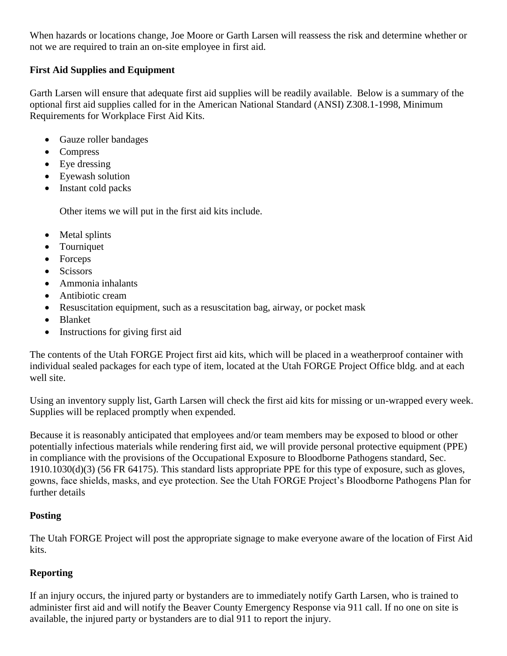When hazards or locations change, Joe Moore or Garth Larsen will reassess the risk and determine whether or not we are required to train an on-site employee in first aid.

# **First Aid Supplies and Equipment**

Garth Larsen will ensure that adequate first aid supplies will be readily available. Below is a summary of the optional first aid supplies called for in the American National Standard (ANSI) Z308.1-1998, Minimum Requirements for Workplace First Aid Kits.

- Gauze roller bandages
- Compress
- Eye dressing
- Eyewash solution
- Instant cold packs

Other items we will put in the first aid kits include.

- Metal splints
- Tourniquet
- Forceps
- Scissors
- Ammonia inhalants
- Antibiotic cream
- Resuscitation equipment, such as a resuscitation bag, airway, or pocket mask
- Blanket
- Instructions for giving first aid

The contents of the Utah FORGE Project first aid kits, which will be placed in a weatherproof container with individual sealed packages for each type of item, located at the Utah FORGE Project Office bldg. and at each well site.

Using an inventory supply list, Garth Larsen will check the first aid kits for missing or un-wrapped every week. Supplies will be replaced promptly when expended.

Because it is reasonably anticipated that employees and/or team members may be exposed to blood or other potentially infectious materials while rendering first aid, we will provide personal protective equipment (PPE) in compliance with the provisions of the Occupational Exposure to Bloodborne Pathogens standard, Sec. 1910.1030(d)(3) (56 FR 64175). This standard lists appropriate PPE for this type of exposure, such as gloves, gowns, face shields, masks, and eye protection. See the Utah FORGE Project's Bloodborne Pathogens Plan for further details

# **Posting**

The Utah FORGE Project will post the appropriate signage to make everyone aware of the location of First Aid kits.

# **Reporting**

If an injury occurs, the injured party or bystanders are to immediately notify Garth Larsen, who is trained to administer first aid and will notify the Beaver County Emergency Response via 911 call. If no one on site is available, the injured party or bystanders are to dial 911 to report the injury.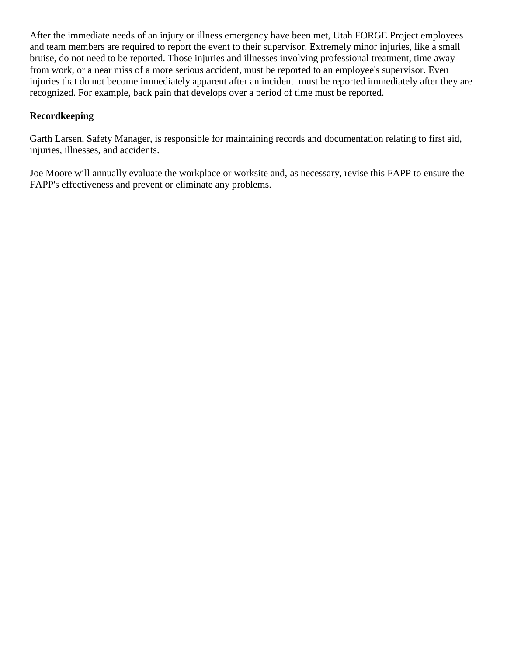After the immediate needs of an injury or illness emergency have been met, Utah FORGE Project employees and team members are required to report the event to their supervisor. Extremely minor injuries, like a small bruise, do not need to be reported. Those injuries and illnesses involving professional treatment, time away from work, or a near miss of a more serious accident, must be reported to an employee's supervisor. Even injuries that do not become immediately apparent after an incident must be reported immediately after they are recognized. For example, back pain that develops over a period of time must be reported.

# **Recordkeeping**

Garth Larsen, Safety Manager, is responsible for maintaining records and documentation relating to first aid, injuries, illnesses, and accidents.

Joe Moore will annually evaluate the workplace or worksite and, as necessary, revise this FAPP to ensure the FAPP's effectiveness and prevent or eliminate any problems.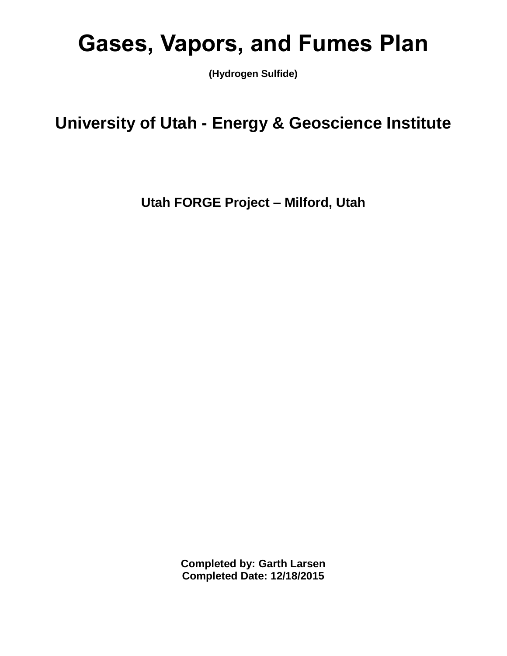# **Gases, Vapors, and Fumes Plan**

**(Hydrogen Sulfide)**

**University of Utah - Energy & Geoscience Institute**

**Utah FORGE Project – Milford, Utah**

**Completed by: Garth Larsen Completed Date: 12/18/2015**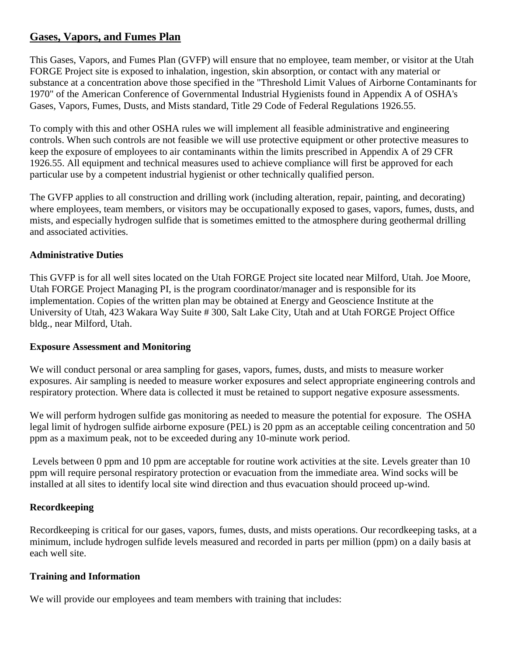# **Gases, Vapors, and Fumes Plan**

This Gases, Vapors, and Fumes Plan (GVFP) will ensure that no employee, team member, or visitor at the Utah FORGE Project site is exposed to inhalation, ingestion, skin absorption, or contact with any material or substance at a concentration above those specified in the "Threshold Limit Values of Airborne Contaminants for 1970" of the American Conference of Governmental Industrial Hygienists found in Appendix A of OSHA's Gases, Vapors, Fumes, Dusts, and Mists standard, Title 29 Code of Federal Regulations 1926.55.

To comply with this and other OSHA rules we will implement all feasible administrative and engineering controls. When such controls are not feasible we will use protective equipment or other protective measures to keep the exposure of employees to air contaminants within the limits prescribed in Appendix A of 29 CFR 1926.55. All equipment and technical measures used to achieve compliance will first be approved for each particular use by a competent industrial hygienist or other technically qualified person.

The GVFP applies to all construction and drilling work (including alteration, repair, painting, and decorating) where employees, team members, or visitors may be occupationally exposed to gases, vapors, fumes, dusts, and mists, and especially hydrogen sulfide that is sometimes emitted to the atmosphere during geothermal drilling and associated activities.

# **Administrative Duties**

This GVFP is for all well sites located on the Utah FORGE Project site located near Milford, Utah. Joe Moore, Utah FORGE Project Managing PI, is the program coordinator/manager and is responsible for its implementation. Copies of the written plan may be obtained at Energy and Geoscience Institute at the University of Utah, 423 Wakara Way Suite # 300, Salt Lake City, Utah and at Utah FORGE Project Office bldg., near Milford, Utah.

### **Exposure Assessment and Monitoring**

We will conduct personal or area sampling for gases, vapors, fumes, dusts, and mists to measure worker exposures. Air sampling is needed to measure worker exposures and select appropriate engineering controls and respiratory protection. Where data is collected it must be retained to support negative exposure assessments.

We will perform hydrogen sulfide gas monitoring as needed to measure the potential for exposure. The OSHA legal limit of hydrogen sulfide airborne exposure (PEL) is 20 ppm as an acceptable ceiling concentration and 50 ppm as a maximum peak, not to be exceeded during any 10-minute work period.

Levels between 0 ppm and 10 ppm are acceptable for routine work activities at the site. Levels greater than 10 ppm will require personal respiratory protection or evacuation from the immediate area. Wind socks will be installed at all sites to identify local site wind direction and thus evacuation should proceed up-wind.

# **Recordkeeping**

Recordkeeping is critical for our gases, vapors, fumes, dusts, and mists operations. Our recordkeeping tasks, at a minimum, include hydrogen sulfide levels measured and recorded in parts per million (ppm) on a daily basis at each well site.

# **Training and Information**

We will provide our employees and team members with training that includes: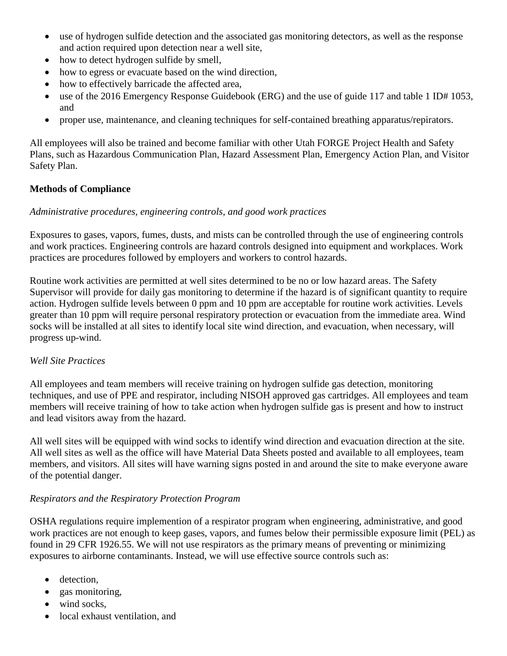- use of hydrogen sulfide detection and the associated gas monitoring detectors, as well as the response and action required upon detection near a well site,
- how to detect hydrogen sulfide by smell,
- how to egress or evacuate based on the wind direction,
- how to effectively barricade the affected area,
- use of the 2016 Emergency Response Guidebook (ERG) and the use of guide 117 and table 1 ID# 1053, and
- proper use, maintenance, and cleaning techniques for self-contained breathing apparatus/repirators.

All employees will also be trained and become familiar with other Utah FORGE Project Health and Safety Plans, such as Hazardous Communication Plan, Hazard Assessment Plan, Emergency Action Plan, and Visitor Safety Plan.

# **Methods of Compliance**

#### *Administrative procedures, engineering controls, and good work practices*

Exposures to gases, vapors, fumes, dusts, and mists can be controlled through the use of engineering controls and work practices. Engineering controls are hazard controls designed into equipment and workplaces. Work practices are procedures followed by employers and workers to control hazards.

Routine work activities are permitted at well sites determined to be no or low hazard areas. The Safety Supervisor will provide for daily gas monitoring to determine if the hazard is of significant quantity to require action. Hydrogen sulfide levels between 0 ppm and 10 ppm are acceptable for routine work activities. Levels greater than 10 ppm will require personal respiratory protection or evacuation from the immediate area. Wind socks will be installed at all sites to identify local site wind direction, and evacuation, when necessary, will progress up-wind.

### *Well Site Practices*

All employees and team members will receive training on hydrogen sulfide gas detection, monitoring techniques, and use of PPE and respirator, including NISOH approved gas cartridges. All employees and team members will receive training of how to take action when hydrogen sulfide gas is present and how to instruct and lead visitors away from the hazard.

All well sites will be equipped with wind socks to identify wind direction and evacuation direction at the site. All well sites as well as the office will have Material Data Sheets posted and available to all employees, team members, and visitors. All sites will have warning signs posted in and around the site to make everyone aware of the potential danger.

### *Respirators and the Respiratory Protection Program*

OSHA regulations require implemention of a respirator program when engineering, administrative, and good work practices are not enough to keep gases, vapors, and fumes below their permissible exposure limit (PEL) as found in 29 CFR 1926.55. We will not use respirators as the primary means of preventing or minimizing exposures to airborne contaminants. Instead, we will use effective source controls such as:

- detection.
- gas monitoring,
- wind socks.
- local exhaust ventilation, and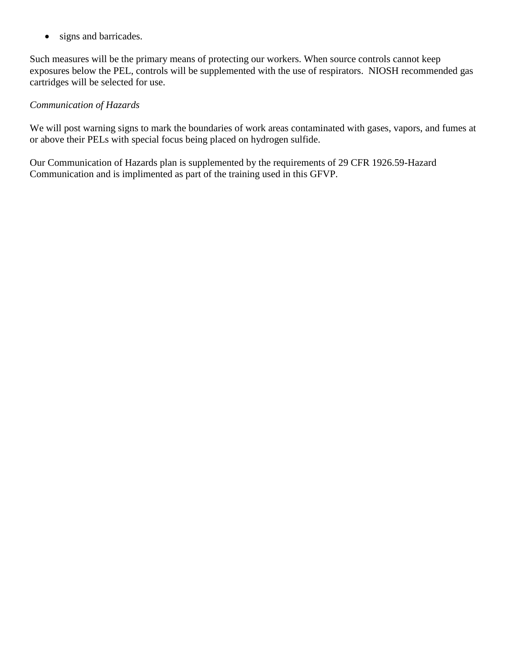• signs and barricades.

Such measures will be the primary means of protecting our workers. When source controls cannot keep exposures below the PEL, controls will be supplemented with the use of respirators. NIOSH recommended gas cartridges will be selected for use.

#### *Communication of Hazards*

We will post warning signs to mark the boundaries of work areas contaminated with gases, vapors, and fumes at or above their PELs with special focus being placed on hydrogen sulfide.

Our Communication of Hazards plan is supplemented by the requirements of 29 CFR 1926.59-Hazard Communication and is implimented as part of the training used in this GFVP.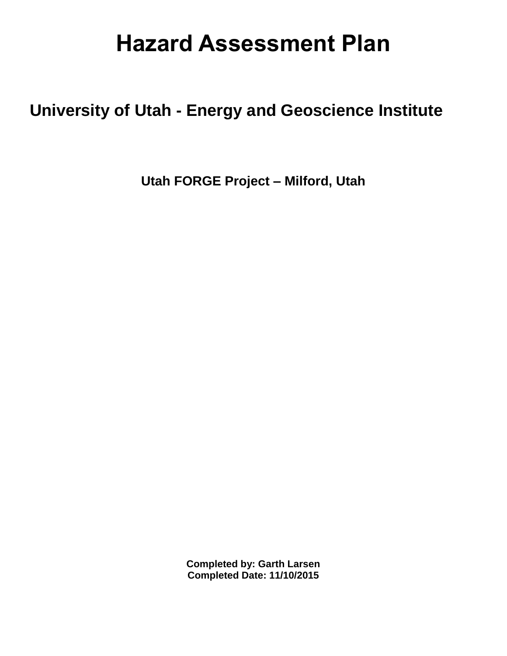# **Hazard Assessment Plan**

**University of Utah - Energy and Geoscience Institute**

**Utah FORGE Project – Milford, Utah**

**Completed by: Garth Larsen Completed Date: 11/10/2015**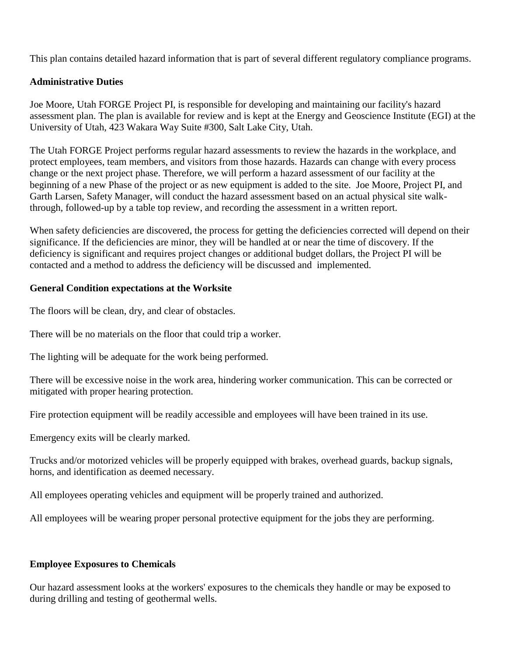This plan contains detailed hazard information that is part of several different regulatory compliance programs.

#### **Administrative Duties**

Joe Moore, Utah FORGE Project PI, is responsible for developing and maintaining our facility's hazard assessment plan. The plan is available for review and is kept at the Energy and Geoscience Institute (EGI) at the University of Utah, 423 Wakara Way Suite #300, Salt Lake City, Utah.

The Utah FORGE Project performs regular hazard assessments to review the hazards in the workplace, and protect employees, team members, and visitors from those hazards. Hazards can change with every process change or the next project phase. Therefore, we will perform a hazard assessment of our facility at the beginning of a new Phase of the project or as new equipment is added to the site. Joe Moore, Project PI, and Garth Larsen, Safety Manager, will conduct the hazard assessment based on an actual physical site walkthrough, followed-up by a table top review, and recording the assessment in a written report.

When safety deficiencies are discovered, the process for getting the deficiencies corrected will depend on their significance. If the deficiencies are minor, they will be handled at or near the time of discovery. If the deficiency is significant and requires project changes or additional budget dollars, the Project PI will be contacted and a method to address the deficiency will be discussed and implemented.

## **General Condition expectations at the Worksite**

The floors will be clean, dry, and clear of obstacles.

There will be no materials on the floor that could trip a worker.

The lighting will be adequate for the work being performed.

There will be excessive noise in the work area, hindering worker communication. This can be corrected or mitigated with proper hearing protection.

Fire protection equipment will be readily accessible and employees will have been trained in its use.

Emergency exits will be clearly marked.

Trucks and/or motorized vehicles will be properly equipped with brakes, overhead guards, backup signals, horns, and identification as deemed necessary.

All employees operating vehicles and equipment will be properly trained and authorized.

All employees will be wearing proper personal protective equipment for the jobs they are performing.

#### **Employee Exposures to Chemicals**

Our hazard assessment looks at the workers' exposures to the chemicals they handle or may be exposed to during drilling and testing of geothermal wells.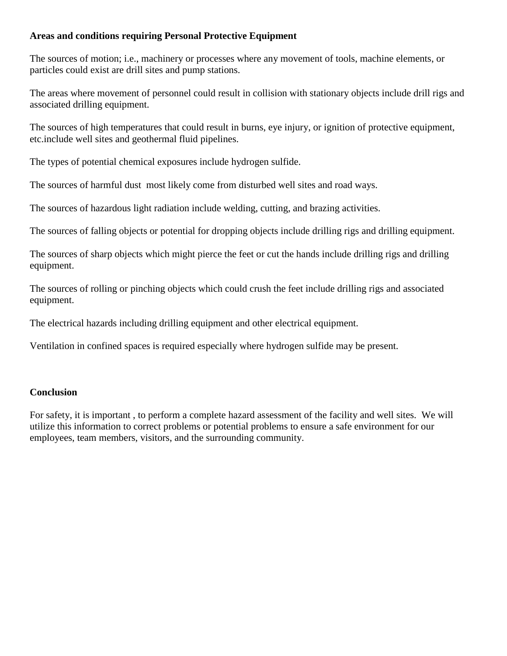#### **Areas and conditions requiring Personal Protective Equipment**

The sources of motion; i.e., machinery or processes where any movement of tools, machine elements, or particles could exist are drill sites and pump stations.

The areas where movement of personnel could result in collision with stationary objects include drill rigs and associated drilling equipment.

The sources of high temperatures that could result in burns, eye injury, or ignition of protective equipment, etc.include well sites and geothermal fluid pipelines.

The types of potential chemical exposures include hydrogen sulfide.

The sources of harmful dust most likely come from disturbed well sites and road ways.

The sources of hazardous light radiation include welding, cutting, and brazing activities.

The sources of falling objects or potential for dropping objects include drilling rigs and drilling equipment.

The sources of sharp objects which might pierce the feet or cut the hands include drilling rigs and drilling equipment.

The sources of rolling or pinching objects which could crush the feet include drilling rigs and associated equipment.

The electrical hazards including drilling equipment and other electrical equipment.

Ventilation in confined spaces is required especially where hydrogen sulfide may be present.

#### **Conclusion**

For safety, it is important , to perform a complete hazard assessment of the facility and well sites. We will utilize this information to correct problems or potential problems to ensure a safe environment for our employees, team members, visitors, and the surrounding community.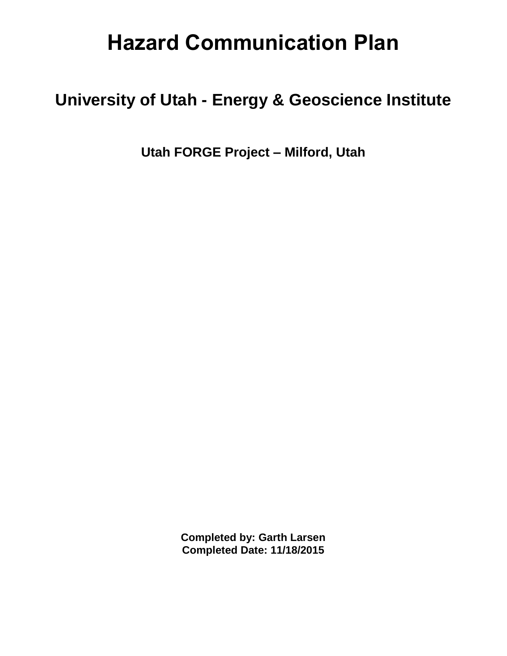# **Hazard Communication Plan**

# **University of Utah - Energy & Geoscience Institute**

**Utah FORGE Project – Milford, Utah**

**Completed by: Garth Larsen Completed Date: 11/18/2015**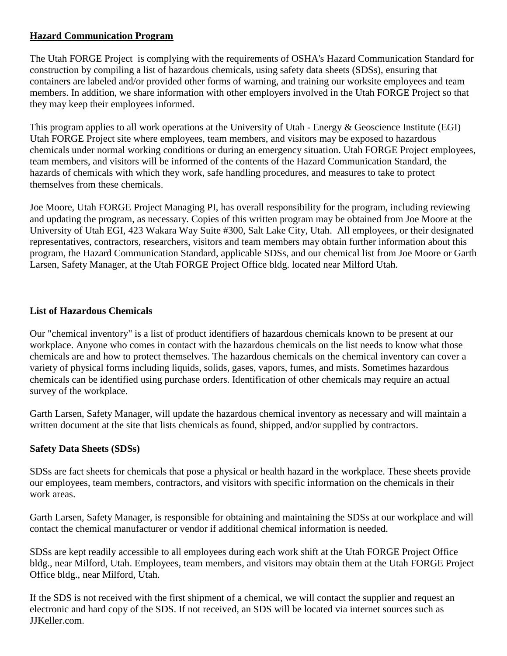#### **Hazard Communication Program**

The Utah FORGE Project is complying with the requirements of OSHA's Hazard Communication Standard for construction by compiling a list of hazardous chemicals, using safety data sheets (SDSs), ensuring that containers are labeled and/or provided other forms of warning, and training our worksite employees and team members. In addition, we share information with other employers involved in the Utah FORGE Project so that they may keep their employees informed.

This program applies to all work operations at the University of Utah - Energy & Geoscience Institute (EGI) Utah FORGE Project site where employees, team members, and visitors may be exposed to hazardous chemicals under normal working conditions or during an emergency situation. Utah FORGE Project employees, team members, and visitors will be informed of the contents of the Hazard Communication Standard, the hazards of chemicals with which they work, safe handling procedures, and measures to take to protect themselves from these chemicals.

Joe Moore, Utah FORGE Project Managing PI, has overall responsibility for the program, including reviewing and updating the program, as necessary. Copies of this written program may be obtained from Joe Moore at the University of Utah EGI, 423 Wakara Way Suite #300, Salt Lake City, Utah. All employees, or their designated representatives, contractors, researchers, visitors and team members may obtain further information about this program, the Hazard Communication Standard, applicable SDSs, and our chemical list from Joe Moore or Garth Larsen, Safety Manager, at the Utah FORGE Project Office bldg. located near Milford Utah.

## **List of Hazardous Chemicals**

Our "chemical inventory" is a list of product identifiers of hazardous chemicals known to be present at our workplace. Anyone who comes in contact with the hazardous chemicals on the list needs to know what those chemicals are and how to protect themselves. The hazardous chemicals on the chemical inventory can cover a variety of physical forms including liquids, solids, gases, vapors, fumes, and mists. Sometimes hazardous chemicals can be identified using purchase orders. Identification of other chemicals may require an actual survey of the workplace.

Garth Larsen, Safety Manager, will update the hazardous chemical inventory as necessary and will maintain a written document at the site that lists chemicals as found, shipped, and/or supplied by contractors.

# **Safety Data Sheets (SDSs)**

SDSs are fact sheets for chemicals that pose a physical or health hazard in the workplace. These sheets provide our employees, team members, contractors, and visitors with specific information on the chemicals in their work areas.

Garth Larsen, Safety Manager, is responsible for obtaining and maintaining the SDSs at our workplace and will contact the chemical manufacturer or vendor if additional chemical information is needed.

SDSs are kept readily accessible to all employees during each work shift at the Utah FORGE Project Office bldg., near Milford, Utah. Employees, team members, and visitors may obtain them at the Utah FORGE Project Office bldg., near Milford, Utah.

If the SDS is not received with the first shipment of a chemical, we will contact the supplier and request an electronic and hard copy of the SDS. If not received, an SDS will be located via internet sources such as JJKeller.com.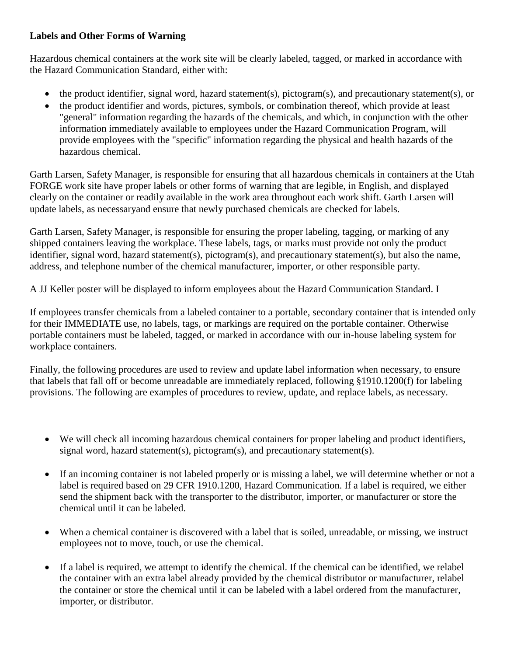# **Labels and Other Forms of Warning**

Hazardous chemical containers at the work site will be clearly labeled, tagged, or marked in accordance with the Hazard Communication Standard, either with:

- the product identifier, signal word, hazard statement(s), pictogram(s), and precautionary statement(s), or
- the product identifier and words, pictures, symbols, or combination thereof, which provide at least "general" information regarding the hazards of the chemicals, and which, in conjunction with the other information immediately available to employees under the Hazard Communication Program, will provide employees with the "specific" information regarding the physical and health hazards of the hazardous chemical.

Garth Larsen, Safety Manager, is responsible for ensuring that all hazardous chemicals in containers at the Utah FORGE work site have proper labels or other forms of warning that are legible, in English, and displayed clearly on the container or readily available in the work area throughout each work shift. Garth Larsen will update labels, as necessaryand ensure that newly purchased chemicals are checked for labels.

Garth Larsen, Safety Manager, is responsible for ensuring the proper labeling, tagging, or marking of any shipped containers leaving the workplace. These labels, tags, or marks must provide not only the product identifier, signal word, hazard statement(s), pictogram(s), and precautionary statement(s), but also the name, address, and telephone number of the chemical manufacturer, importer, or other responsible party.

A JJ Keller poster will be displayed to inform employees about the Hazard Communication Standard. I

If employees transfer chemicals from a labeled container to a portable, secondary container that is intended only for their IMMEDIATE use, no labels, tags, or markings are required on the portable container. Otherwise portable containers must be labeled, tagged, or marked in accordance with our in-house labeling system for workplace containers.

Finally, the following procedures are used to review and update label information when necessary, to ensure that labels that fall off or become unreadable are immediately replaced, following §1910.1200(f) for labeling provisions. The following are examples of procedures to review, update, and replace labels, as necessary.

- We will check all incoming hazardous chemical containers for proper labeling and product identifiers, signal word, hazard statement(s), pictogram(s), and precautionary statement(s).
- If an incoming container is not labeled properly or is missing a label, we will determine whether or not a label is required based on 29 CFR 1910.1200, Hazard Communication. If a label is required, we either send the shipment back with the transporter to the distributor, importer, or manufacturer or store the chemical until it can be labeled.
- When a chemical container is discovered with a label that is soiled, unreadable, or missing, we instruct employees not to move, touch, or use the chemical.
- If a label is required, we attempt to identify the chemical. If the chemical can be identified, we relabel the container with an extra label already provided by the chemical distributor or manufacturer, relabel the container or store the chemical until it can be labeled with a label ordered from the manufacturer, importer, or distributor.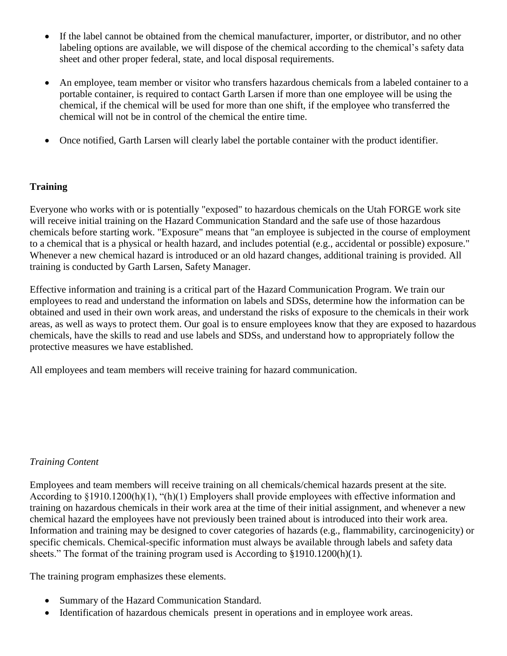- If the label cannot be obtained from the chemical manufacturer, importer, or distributor, and no other labeling options are available, we will dispose of the chemical according to the chemical's safety data sheet and other proper federal, state, and local disposal requirements.
- An employee, team member or visitor who transfers hazardous chemicals from a labeled container to a portable container, is required to contact Garth Larsen if more than one employee will be using the chemical, if the chemical will be used for more than one shift, if the employee who transferred the chemical will not be in control of the chemical the entire time.
- Once notified, Garth Larsen will clearly label the portable container with the product identifier.

## **Training**

Everyone who works with or is potentially "exposed" to hazardous chemicals on the Utah FORGE work site will receive initial training on the Hazard Communication Standard and the safe use of those hazardous chemicals before starting work. "Exposure" means that "an employee is subjected in the course of employment to a chemical that is a physical or health hazard, and includes potential (e.g., accidental or possible) exposure." Whenever a new chemical hazard is introduced or an old hazard changes, additional training is provided. All training is conducted by Garth Larsen, Safety Manager.

Effective information and training is a critical part of the Hazard Communication Program. We train our employees to read and understand the information on labels and SDSs, determine how the information can be obtained and used in their own work areas, and understand the risks of exposure to the chemicals in their work areas, as well as ways to protect them. Our goal is to ensure employees know that they are exposed to hazardous chemicals, have the skills to read and use labels and SDSs, and understand how to appropriately follow the protective measures we have established.

All employees and team members will receive training for hazard communication.

#### *Training Content*

Employees and team members will receive training on all chemicals/chemical hazards present at the site. According to §1910.1200(h)(1), "(h)(1) Employers shall provide employees with effective information and training on hazardous chemicals in their work area at the time of their initial assignment, and whenever a new chemical hazard the employees have not previously been trained about is introduced into their work area. Information and training may be designed to cover categories of hazards (e.g., flammability, carcinogenicity) or specific chemicals. Chemical-specific information must always be available through labels and safety data sheets." The format of the training program used is According to §1910.1200(h)(1).

The training program emphasizes these elements.

- Summary of the Hazard Communication Standard.
- Identification of hazardous chemicals present in operations and in employee work areas.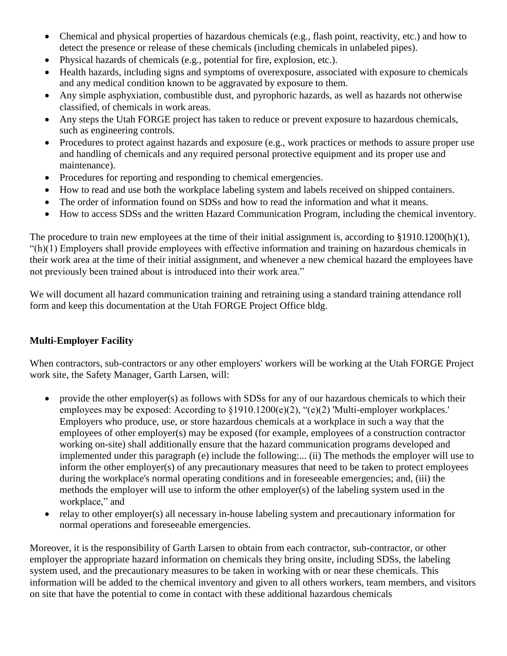- Chemical and physical properties of hazardous chemicals (e.g., flash point, reactivity, etc.) and how to detect the presence or release of these chemicals (including chemicals in unlabeled pipes).
- Physical hazards of chemicals (e.g., potential for fire, explosion, etc.).
- Health hazards, including signs and symptoms of overexposure, associated with exposure to chemicals and any medical condition known to be aggravated by exposure to them.
- Any simple asphyxiation, combustible dust, and pyrophoric hazards, as well as hazards not otherwise classified, of chemicals in work areas.
- Any steps the Utah FORGE project has taken to reduce or prevent exposure to hazardous chemicals, such as engineering controls.
- Procedures to protect against hazards and exposure (e.g., work practices or methods to assure proper use and handling of chemicals and any required personal protective equipment and its proper use and maintenance).
- Procedures for reporting and responding to chemical emergencies.
- How to read and use both the workplace labeling system and labels received on shipped containers.
- The order of information found on SDSs and how to read the information and what it means.
- How to access SDSs and the written Hazard Communication Program, including the chemical inventory.

The procedure to train new employees at the time of their initial assignment is, according to §1910.1200(h)(1), "(h)(1) Employers shall provide employees with effective information and training on hazardous chemicals in their work area at the time of their initial assignment, and whenever a new chemical hazard the employees have not previously been trained about is introduced into their work area."

We will document all hazard communication training and retraining using a standard training attendance roll form and keep this documentation at the Utah FORGE Project Office bldg.

#### **Multi-Employer Facility**

When contractors, sub-contractors or any other employers' workers will be working at the Utah FORGE Project work site, the Safety Manager, Garth Larsen, will:

- provide the other employer(s) as follows with SDSs for any of our hazardous chemicals to which their employees may be exposed: According to §1910.1200(e)(2), "(e)(2) 'Multi-employer workplaces.' Employers who produce, use, or store hazardous chemicals at a workplace in such a way that the employees of other employer(s) may be exposed (for example, employees of a construction contractor working on-site) shall additionally ensure that the hazard communication programs developed and implemented under this paragraph (e) include the following:... (ii) The methods the employer will use to inform the other employer(s) of any precautionary measures that need to be taken to protect employees during the workplace's normal operating conditions and in foreseeable emergencies; and, (iii) the methods the employer will use to inform the other employer(s) of the labeling system used in the workplace," and
- relay to other employer(s) all necessary in-house labeling system and precautionary information for normal operations and foreseeable emergencies.

Moreover, it is the responsibility of Garth Larsen to obtain from each contractor, sub-contractor, or other employer the appropriate hazard information on chemicals they bring onsite, including SDSs, the labeling system used, and the precautionary measures to be taken in working with or near these chemicals. This information will be added to the chemical inventory and given to all others workers, team members, and visitors on site that have the potential to come in contact with these additional hazardous chemicals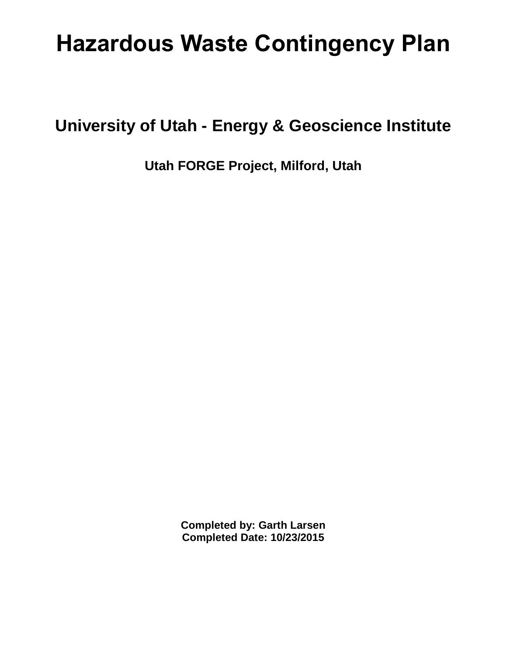# **Hazardous Waste Contingency Plan**

# **University of Utah - Energy & Geoscience Institute**

**Utah FORGE Project, Milford, Utah**

**Completed by: Garth Larsen Completed Date: 10/23/2015**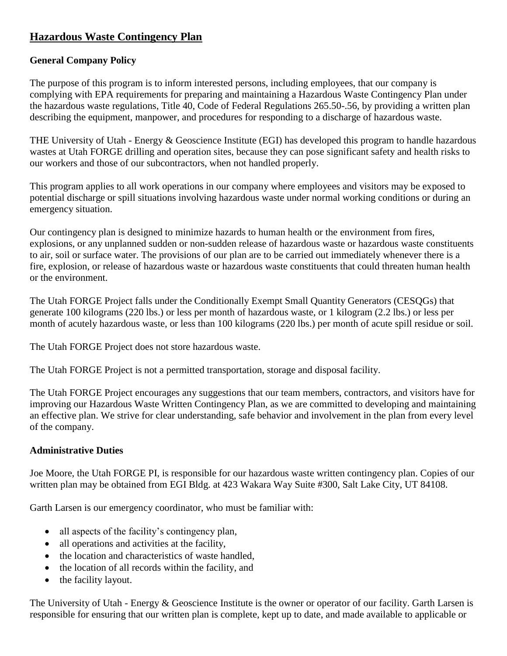# **Hazardous Waste Contingency Plan**

# **General Company Policy**

The purpose of this program is to inform interested persons, including employees, that our company is complying with EPA requirements for preparing and maintaining a Hazardous Waste Contingency Plan under the hazardous waste regulations, Title 40, Code of Federal Regulations 265.50-.56, by providing a written plan describing the equipment, manpower, and procedures for responding to a discharge of hazardous waste.

THE University of Utah - Energy & Geoscience Institute (EGI) has developed this program to handle hazardous wastes at Utah FORGE drilling and operation sites, because they can pose significant safety and health risks to our workers and those of our subcontractors, when not handled properly.

This program applies to all work operations in our company where employees and visitors may be exposed to potential discharge or spill situations involving hazardous waste under normal working conditions or during an emergency situation.

Our contingency plan is designed to minimize hazards to human health or the environment from fires, explosions, or any unplanned sudden or non-sudden release of hazardous waste or hazardous waste constituents to air, soil or surface water. The provisions of our plan are to be carried out immediately whenever there is a fire, explosion, or release of hazardous waste or hazardous waste constituents that could threaten human health or the environment.

The Utah FORGE Project falls under the Conditionally Exempt Small Quantity Generators (CESQGs) that generate 100 kilograms (220 lbs.) or less per month of hazardous waste, or 1 kilogram (2.2 lbs.) or less per month of acutely hazardous waste, or less than 100 kilograms (220 lbs.) per month of acute spill residue or soil.

The Utah FORGE Project does not store hazardous waste.

The Utah FORGE Project is not a permitted transportation, storage and disposal facility.

The Utah FORGE Project encourages any suggestions that our team members, contractors, and visitors have for improving our Hazardous Waste Written Contingency Plan, as we are committed to developing and maintaining an effective plan. We strive for clear understanding, safe behavior and involvement in the plan from every level of the company.

# **Administrative Duties**

Joe Moore, the Utah FORGE PI, is responsible for our hazardous waste written contingency plan. Copies of our written plan may be obtained from EGI Bldg. at 423 Wakara Way Suite #300, Salt Lake City, UT 84108.

Garth Larsen is our emergency coordinator, who must be familiar with:

- all aspects of the facility's contingency plan,
- all operations and activities at the facility,
- the location and characteristics of waste handled,
- the location of all records within the facility, and
- the facility layout.

The University of Utah - Energy & Geoscience Institute is the owner or operator of our facility. Garth Larsen is responsible for ensuring that our written plan is complete, kept up to date, and made available to applicable or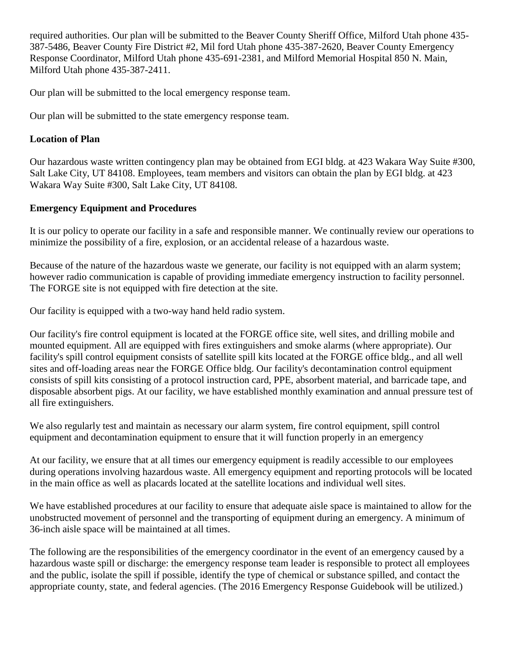required authorities. Our plan will be submitted to the Beaver County Sheriff Office, Milford Utah phone 435- 387-5486, Beaver County Fire District #2, Mil ford Utah phone 435-387-2620, Beaver County Emergency Response Coordinator, Milford Utah phone 435-691-2381, and Milford Memorial Hospital 850 N. Main, Milford Utah phone 435-387-2411.

Our plan will be submitted to the local emergency response team.

Our plan will be submitted to the state emergency response team.

# **Location of Plan**

Our hazardous waste written contingency plan may be obtained from EGI bldg. at 423 Wakara Way Suite #300, Salt Lake City, UT 84108. Employees, team members and visitors can obtain the plan by EGI bldg. at 423 Wakara Way Suite #300, Salt Lake City, UT 84108.

# **Emergency Equipment and Procedures**

It is our policy to operate our facility in a safe and responsible manner. We continually review our operations to minimize the possibility of a fire, explosion, or an accidental release of a hazardous waste.

Because of the nature of the hazardous waste we generate, our facility is not equipped with an alarm system; however radio communication is capable of providing immediate emergency instruction to facility personnel. The FORGE site is not equipped with fire detection at the site.

Our facility is equipped with a two-way hand held radio system.

Our facility's fire control equipment is located at the FORGE office site, well sites, and drilling mobile and mounted equipment. All are equipped with fires extinguishers and smoke alarms (where appropriate). Our facility's spill control equipment consists of satellite spill kits located at the FORGE office bldg., and all well sites and off-loading areas near the FORGE Office bldg. Our facility's decontamination control equipment consists of spill kits consisting of a protocol instruction card, PPE, absorbent material, and barricade tape, and disposable absorbent pigs. At our facility, we have established monthly examination and annual pressure test of all fire extinguishers.

We also regularly test and maintain as necessary our alarm system, fire control equipment, spill control equipment and decontamination equipment to ensure that it will function properly in an emergency

At our facility, we ensure that at all times our emergency equipment is readily accessible to our employees during operations involving hazardous waste. All emergency equipment and reporting protocols will be located in the main office as well as placards located at the satellite locations and individual well sites.

We have established procedures at our facility to ensure that adequate aisle space is maintained to allow for the unobstructed movement of personnel and the transporting of equipment during an emergency. A minimum of 36-inch aisle space will be maintained at all times.

The following are the responsibilities of the emergency coordinator in the event of an emergency caused by a hazardous waste spill or discharge: the emergency response team leader is responsible to protect all employees and the public, isolate the spill if possible, identify the type of chemical or substance spilled, and contact the appropriate county, state, and federal agencies. (The 2016 Emergency Response Guidebook will be utilized.)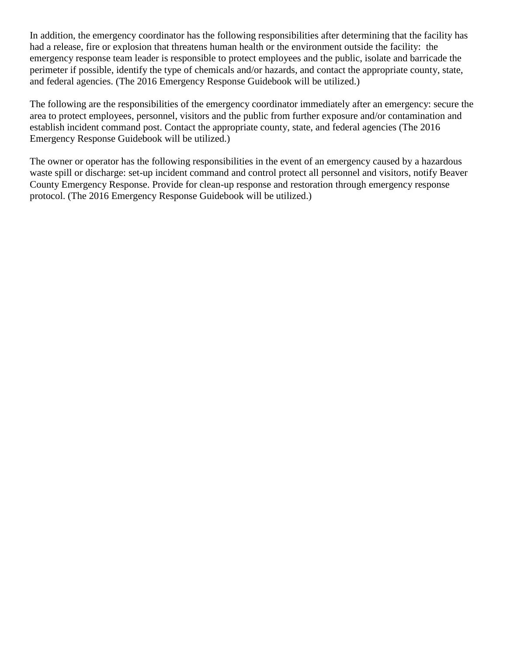In addition, the emergency coordinator has the following responsibilities after determining that the facility has had a release, fire or explosion that threatens human health or the environment outside the facility: the emergency response team leader is responsible to protect employees and the public, isolate and barricade the perimeter if possible, identify the type of chemicals and/or hazards, and contact the appropriate county, state, and federal agencies. (The 2016 Emergency Response Guidebook will be utilized.)

The following are the responsibilities of the emergency coordinator immediately after an emergency: secure the area to protect employees, personnel, visitors and the public from further exposure and/or contamination and establish incident command post. Contact the appropriate county, state, and federal agencies (The 2016 Emergency Response Guidebook will be utilized.)

The owner or operator has the following responsibilities in the event of an emergency caused by a hazardous waste spill or discharge: set-up incident command and control protect all personnel and visitors, notify Beaver County Emergency Response. Provide for clean-up response and restoration through emergency response protocol. (The 2016 Emergency Response Guidebook will be utilized.)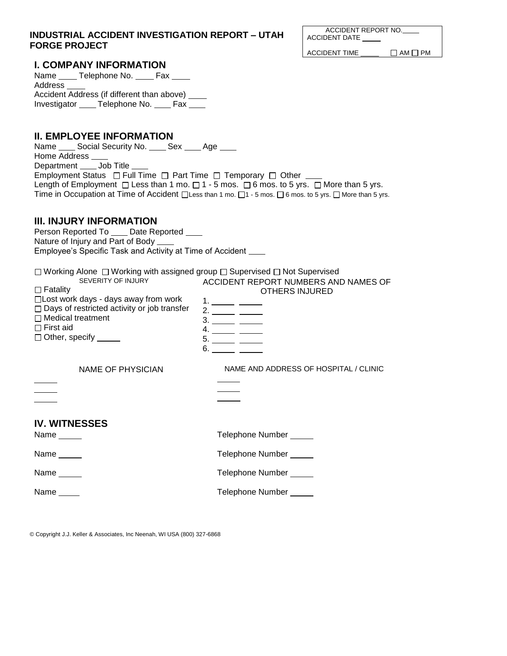#### **INDUSTRIAL ACCIDENT INVESTIGATION REPORT – UTAH FORGE PROJECT**

ACCIDENT REPORT NO. ACCIDENT DATE

 $ACCIDENT$  TIME  $\Box$  AM  $\Box$  PM

#### **I. COMPANY INFORMATION**

Name \_\_\_\_\_ Telephone No. \_\_\_\_\_ Fax \_\_\_\_ Address Accident Address (if different than above) Investigator \_\_\_\_\_ Telephone No. \_\_\_\_ Fax \_\_\_

#### **II. EMPLOYEE INFORMATION**

Name Social Security No. Sex \_\_\_ Age \_\_\_ Home Address Department \_\_\_\_\_ Job Title Employment Status  $\Box$  Full Time  $\Box$  Part Time  $\Box$  Temporary  $\Box$  Other  $\Box$ Length of Employment  $\Box$  Less than 1 mo.  $\Box$  1 - 5 mos.  $\Box$  6 mos. to 5 yrs.  $\Box$  More than 5 yrs. Time in Occupation at Time of Accident  $\Box$ Less than 1 mo.  $\Box$ 1 - 5 mos.  $\Box$  6 mos. to 5 yrs.  $\Box$  More than 5 yrs.

#### **III. INJURY INFORMATION**

Person Reported To \_\_\_\_ Date Reported \_\_\_\_ Nature of Injury and Part of Body \_ Employee's Specific Task and Activity at Time of Accident

| $\Box$ Working Alone $\Box$ Working with assigned group $\Box$ Supervised $\Box$ Not Supervised<br>SEVERITY OF INJURY<br>$\Box$ Fatality<br>$\Box$ Lost work days - days away from work<br>□ Days of restricted activity or job transfer<br>$\Box$ Medical treatment<br>$\Box$ First aid<br>$\Box$ Other, specify ______ | ACCIDENT REPORT NUMBERS AND NAMES OF<br><b>OTHERS INJURED</b><br>1. _____ ____<br>3. ______ _____<br>4. ______ _____<br>5. ______ _____<br>6. |
|--------------------------------------------------------------------------------------------------------------------------------------------------------------------------------------------------------------------------------------------------------------------------------------------------------------------------|-----------------------------------------------------------------------------------------------------------------------------------------------|
| <b>NAME OF PHYSICIAN</b>                                                                                                                                                                                                                                                                                                 | NAME AND ADDRESS OF HOSPITAL / CLINIC                                                                                                         |
|                                                                                                                                                                                                                                                                                                                          |                                                                                                                                               |
| <b>IV. WITNESSES</b><br>Name                                                                                                                                                                                                                                                                                             | Telephone Number _____                                                                                                                        |
| Name                                                                                                                                                                                                                                                                                                                     | Telephone Number _____                                                                                                                        |
| Name                                                                                                                                                                                                                                                                                                                     | Telephone Number _____                                                                                                                        |
| Name _____                                                                                                                                                                                                                                                                                                               | Telephone Number                                                                                                                              |

© Copyright J.J. Keller & Associates, Inc Neenah, WI USA (800) 327-6868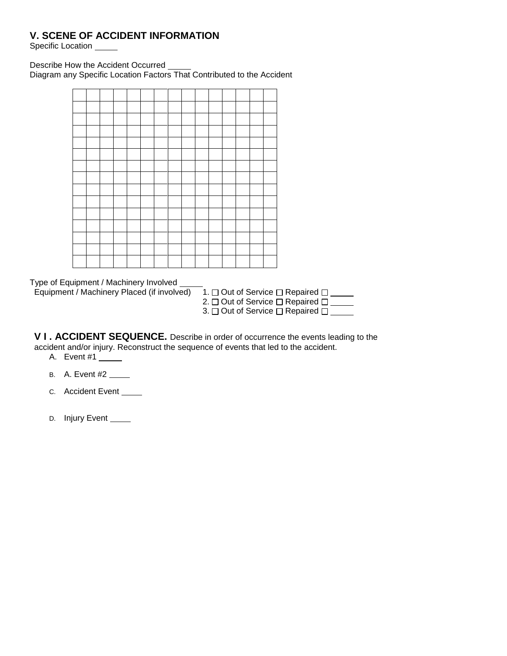# **V. SCENE OF ACCIDENT INFORMATION**

Specific Location \_\_\_\_\_\_

Describe How the Accident Occurred

Diagram any Specific Location Factors That Contributed to the Accident

Type of Equipment / Machinery Involved

Equipment / Machinery Placed (if involved) 1.  $\Box$  Out of Service  $\Box$  Repaired  $\Box$ 

2.  $\Box$  Out of Service  $\Box$  Repaired  $\Box$ 

3.  $\Box$  Out of Service  $\Box$  Repaired  $\Box$ 

**V I . ACCIDENT SEQUENCE.** Describe in order of occurrence the events leading to the accident and/or injury. Reconstruct the sequence of events that led to the accident.

- A. Event #1
- B. A. Event #2
- C. Accident Event
- D. Injury Event \_\_\_\_\_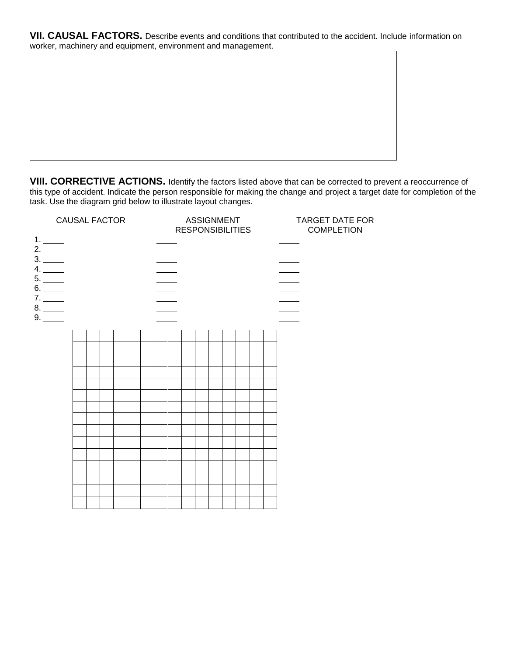**VII. CAUSAL FACTORS.** Describe events and conditions that contributed to the accident. Include information on worker, machinery and equipment, environment and management.

**VIII. CORRECTIVE ACTIONS.** Identify the factors listed above that can be corrected to prevent a reoccurrence of this type of accident. Indicate the person responsible for making the change and project a target date for completion of the task. Use the diagram grid below to illustrate layout changes.

|                                                                                                                                                | CAUSAL FACTOR |  |  |  |  |  |  |  |  | <b>ASSIGNMENT</b><br><b>RESPONSIBILITIES</b> |  |  | TARGET DATE FOR<br><b>COMPLETION</b> |  |  |  |  |
|------------------------------------------------------------------------------------------------------------------------------------------------|---------------|--|--|--|--|--|--|--|--|----------------------------------------------|--|--|--------------------------------------|--|--|--|--|
| 1.<br>$\frac{2}{3}$ $\frac{2}{\qquad}$<br>4.<br>5.<br>$\begin{array}{c}\n6. \\ 7. \quad \  \  \phantom{2\phantom{1}}\n\end{array}$<br>8.<br>9. |               |  |  |  |  |  |  |  |  |                                              |  |  |                                      |  |  |  |  |
|                                                                                                                                                |               |  |  |  |  |  |  |  |  |                                              |  |  |                                      |  |  |  |  |
|                                                                                                                                                |               |  |  |  |  |  |  |  |  |                                              |  |  |                                      |  |  |  |  |
|                                                                                                                                                |               |  |  |  |  |  |  |  |  |                                              |  |  |                                      |  |  |  |  |
|                                                                                                                                                |               |  |  |  |  |  |  |  |  |                                              |  |  |                                      |  |  |  |  |
|                                                                                                                                                |               |  |  |  |  |  |  |  |  |                                              |  |  |                                      |  |  |  |  |
|                                                                                                                                                |               |  |  |  |  |  |  |  |  |                                              |  |  |                                      |  |  |  |  |
|                                                                                                                                                |               |  |  |  |  |  |  |  |  |                                              |  |  |                                      |  |  |  |  |
|                                                                                                                                                |               |  |  |  |  |  |  |  |  |                                              |  |  |                                      |  |  |  |  |
|                                                                                                                                                |               |  |  |  |  |  |  |  |  |                                              |  |  |                                      |  |  |  |  |
|                                                                                                                                                |               |  |  |  |  |  |  |  |  |                                              |  |  |                                      |  |  |  |  |
|                                                                                                                                                |               |  |  |  |  |  |  |  |  |                                              |  |  |                                      |  |  |  |  |
|                                                                                                                                                |               |  |  |  |  |  |  |  |  |                                              |  |  |                                      |  |  |  |  |
|                                                                                                                                                |               |  |  |  |  |  |  |  |  |                                              |  |  |                                      |  |  |  |  |
|                                                                                                                                                |               |  |  |  |  |  |  |  |  |                                              |  |  |                                      |  |  |  |  |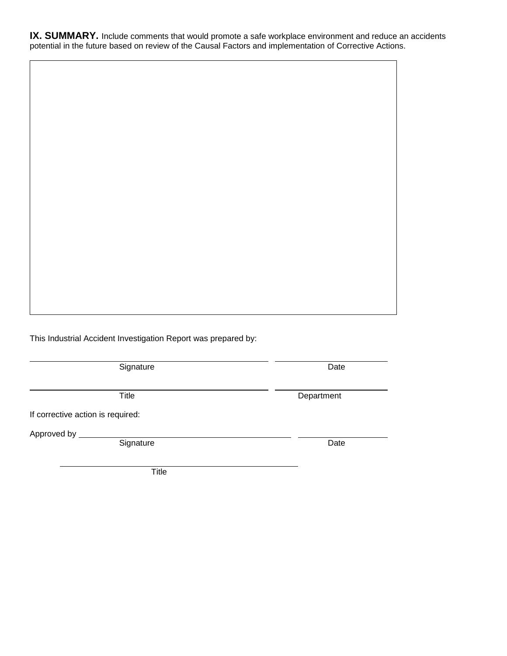**IX. SUMMARY.** Include comments that would promote a safe workplace environment and reduce an accidents potential in the future based on review of the Causal Factors and implementation of Corrective Actions.

Signature Date

This Industrial Accident Investigation Report was prepared by:

If corrective action is required:

Approved by \_

Signature Date

**Title** 

Title Department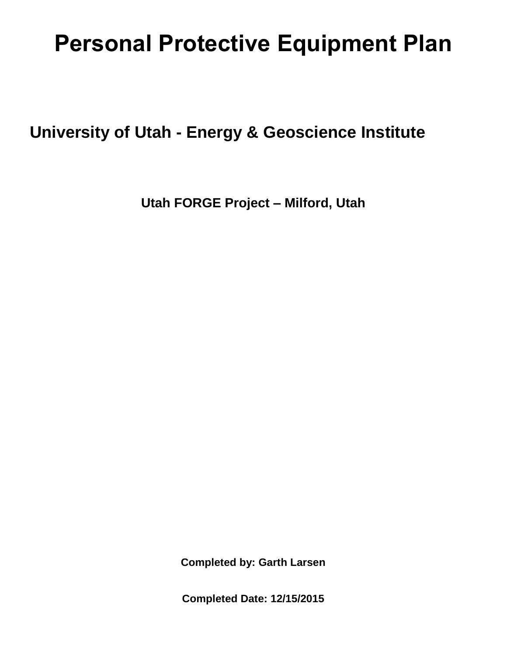# **Personal Protective Equipment Plan**

**University of Utah - Energy & Geoscience Institute**

**Utah FORGE Project – Milford, Utah**

**Completed by: Garth Larsen**

**Completed Date: 12/15/2015**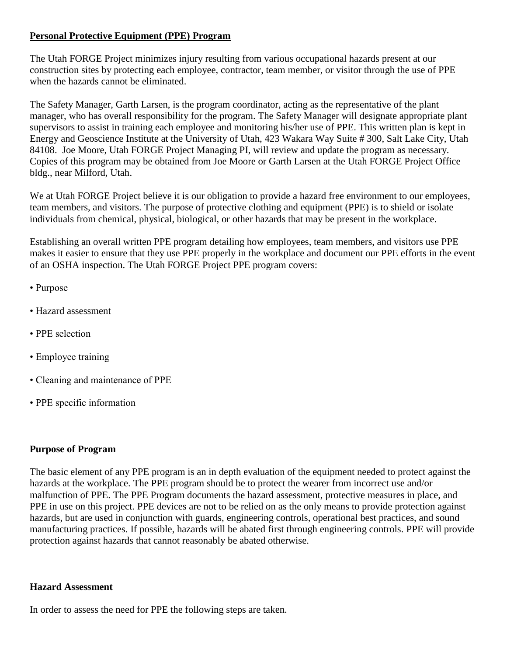#### **Personal Protective Equipment (PPE) Program**

The Utah FORGE Project minimizes injury resulting from various occupational hazards present at our construction sites by protecting each employee, contractor, team member, or visitor through the use of PPE when the hazards cannot be eliminated.

The Safety Manager, Garth Larsen, is the program coordinator, acting as the representative of the plant manager, who has overall responsibility for the program. The Safety Manager will designate appropriate plant supervisors to assist in training each employee and monitoring his/her use of PPE. This written plan is kept in Energy and Geoscience Institute at the University of Utah, 423 Wakara Way Suite # 300, Salt Lake City, Utah 84108. Joe Moore, Utah FORGE Project Managing PI, will review and update the program as necessary. Copies of this program may be obtained from Joe Moore or Garth Larsen at the Utah FORGE Project Office bldg., near Milford, Utah.

We at Utah FORGE Project believe it is our obligation to provide a hazard free environment to our employees, team members, and visitors. The purpose of protective clothing and equipment (PPE) is to shield or isolate individuals from chemical, physical, biological, or other hazards that may be present in the workplace.

Establishing an overall written PPE program detailing how employees, team members, and visitors use PPE makes it easier to ensure that they use PPE properly in the workplace and document our PPE efforts in the event of an OSHA inspection. The Utah FORGE Project PPE program covers:

- Purpose
- Hazard assessment
- PPE selection
- Employee training
- Cleaning and maintenance of PPE
- PPE specific information

#### **Purpose of Program**

The basic element of any PPE program is an in depth evaluation of the equipment needed to protect against the hazards at the workplace. The PPE program should be to protect the wearer from incorrect use and/or malfunction of PPE. The PPE Program documents the hazard assessment, protective measures in place, and PPE in use on this project. PPE devices are not to be relied on as the only means to provide protection against hazards, but are used in conjunction with guards, engineering controls, operational best practices, and sound manufacturing practices. If possible, hazards will be abated first through engineering controls. PPE will provide protection against hazards that cannot reasonably be abated otherwise.

#### **Hazard Assessment**

In order to assess the need for PPE the following steps are taken.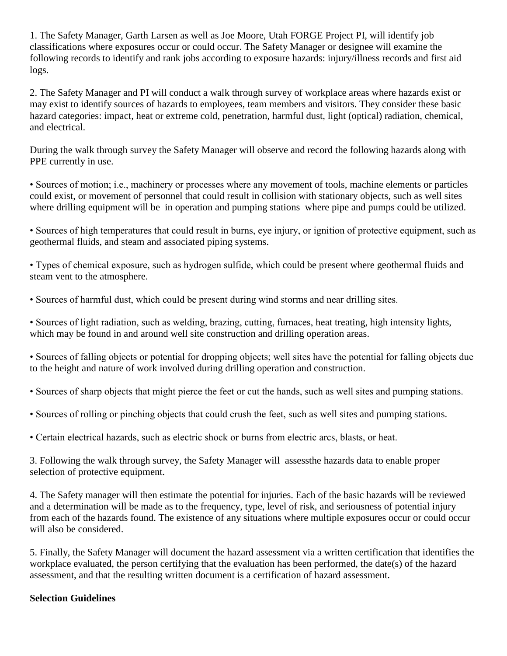1. The Safety Manager, Garth Larsen as well as Joe Moore, Utah FORGE Project PI, will identify job classifications where exposures occur or could occur. The Safety Manager or designee will examine the following records to identify and rank jobs according to exposure hazards: injury/illness records and first aid logs.

2. The Safety Manager and PI will conduct a walk through survey of workplace areas where hazards exist or may exist to identify sources of hazards to employees, team members and visitors. They consider these basic hazard categories: impact, heat or extreme cold, penetration, harmful dust, light (optical) radiation, chemical, and electrical.

During the walk through survey the Safety Manager will observe and record the following hazards along with PPE currently in use.

• Sources of motion; i.e., machinery or processes where any movement of tools, machine elements or particles could exist, or movement of personnel that could result in collision with stationary objects, such as well sites where drilling equipment will be in operation and pumping stations where pipe and pumps could be utilized.

• Sources of high temperatures that could result in burns, eye injury, or ignition of protective equipment, such as geothermal fluids, and steam and associated piping systems.

• Types of chemical exposure, such as hydrogen sulfide, which could be present where geothermal fluids and steam vent to the atmosphere.

• Sources of harmful dust, which could be present during wind storms and near drilling sites.

• Sources of light radiation, such as welding, brazing, cutting, furnaces, heat treating, high intensity lights, which may be found in and around well site construction and drilling operation areas.

• Sources of falling objects or potential for dropping objects; well sites have the potential for falling objects due to the height and nature of work involved during drilling operation and construction.

• Sources of sharp objects that might pierce the feet or cut the hands, such as well sites and pumping stations.

• Sources of rolling or pinching objects that could crush the feet, such as well sites and pumping stations.

• Certain electrical hazards, such as electric shock or burns from electric arcs, blasts, or heat.

3. Following the walk through survey, the Safety Manager will assessthe hazards data to enable proper selection of protective equipment.

4. The Safety manager will then estimate the potential for injuries. Each of the basic hazards will be reviewed and a determination will be made as to the frequency, type, level of risk, and seriousness of potential injury from each of the hazards found. The existence of any situations where multiple exposures occur or could occur will also be considered.

5. Finally, the Safety Manager will document the hazard assessment via a written certification that identifies the workplace evaluated, the person certifying that the evaluation has been performed, the date(s) of the hazard assessment, and that the resulting written document is a certification of hazard assessment.

#### **Selection Guidelines**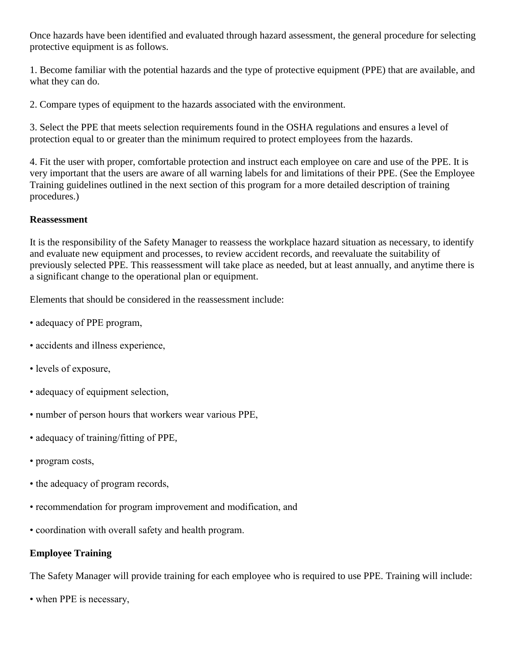Once hazards have been identified and evaluated through hazard assessment, the general procedure for selecting protective equipment is as follows.

1. Become familiar with the potential hazards and the type of protective equipment (PPE) that are available, and what they can do.

2. Compare types of equipment to the hazards associated with the environment.

3. Select the PPE that meets selection requirements found in the OSHA regulations and ensures a level of protection equal to or greater than the minimum required to protect employees from the hazards.

4. Fit the user with proper, comfortable protection and instruct each employee on care and use of the PPE. It is very important that the users are aware of all warning labels for and limitations of their PPE. (See the Employee Training guidelines outlined in the next section of this program for a more detailed description of training procedures.)

#### **Reassessment**

It is the responsibility of the Safety Manager to reassess the workplace hazard situation as necessary, to identify and evaluate new equipment and processes, to review accident records, and reevaluate the suitability of previously selected PPE. This reassessment will take place as needed, but at least annually, and anytime there is a significant change to the operational plan or equipment.

Elements that should be considered in the reassessment include:

- adequacy of PPE program,
- accidents and illness experience,
- levels of exposure,
- adequacy of equipment selection,
- number of person hours that workers wear various PPE,
- adequacy of training/fitting of PPE,
- program costs,
- the adequacy of program records,
- recommendation for program improvement and modification, and
- coordination with overall safety and health program.

# **Employee Training**

The Safety Manager will provide training for each employee who is required to use PPE. Training will include:

• when PPE is necessary,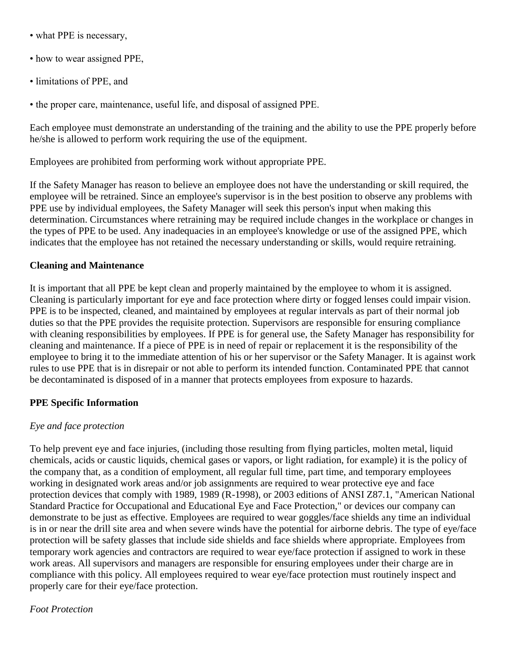- what PPE is necessary,
- how to wear assigned PPE,
- limitations of PPE, and
- the proper care, maintenance, useful life, and disposal of assigned PPE.

Each employee must demonstrate an understanding of the training and the ability to use the PPE properly before he/she is allowed to perform work requiring the use of the equipment.

Employees are prohibited from performing work without appropriate PPE.

If the Safety Manager has reason to believe an employee does not have the understanding or skill required, the employee will be retrained. Since an employee's supervisor is in the best position to observe any problems with PPE use by individual employees, the Safety Manager will seek this person's input when making this determination. Circumstances where retraining may be required include changes in the workplace or changes in the types of PPE to be used. Any inadequacies in an employee's knowledge or use of the assigned PPE, which indicates that the employee has not retained the necessary understanding or skills, would require retraining.

#### **Cleaning and Maintenance**

It is important that all PPE be kept clean and properly maintained by the employee to whom it is assigned. Cleaning is particularly important for eye and face protection where dirty or fogged lenses could impair vision. PPE is to be inspected, cleaned, and maintained by employees at regular intervals as part of their normal job duties so that the PPE provides the requisite protection. Supervisors are responsible for ensuring compliance with cleaning responsibilities by employees. If PPE is for general use, the Safety Manager has responsibility for cleaning and maintenance. If a piece of PPE is in need of repair or replacement it is the responsibility of the employee to bring it to the immediate attention of his or her supervisor or the Safety Manager. It is against work rules to use PPE that is in disrepair or not able to perform its intended function. Contaminated PPE that cannot be decontaminated is disposed of in a manner that protects employees from exposure to hazards.

#### **PPE Specific Information**

#### *Eye and face protection*

To help prevent eye and face injuries, (including those resulting from flying particles, molten metal, liquid chemicals, acids or caustic liquids, chemical gases or vapors, or light radiation, for example) it is the policy of the company that, as a condition of employment, all regular full time, part time, and temporary employees working in designated work areas and/or job assignments are required to wear protective eye and face protection devices that comply with 1989, 1989 (R-1998), or 2003 editions of ANSI Z87.1, "American National Standard Practice for Occupational and Educational Eye and Face Protection," or devices our company can demonstrate to be just as effective. Employees are required to wear goggles/face shields any time an individual is in or near the drill site area and when severe winds have the potential for airborne debris. The type of eye/face protection will be safety glasses that include side shields and face shields where appropriate. Employees from temporary work agencies and contractors are required to wear eye/face protection if assigned to work in these work areas. All supervisors and managers are responsible for ensuring employees under their charge are in compliance with this policy. All employees required to wear eye/face protection must routinely inspect and properly care for their eye/face protection.

#### *Foot Protection*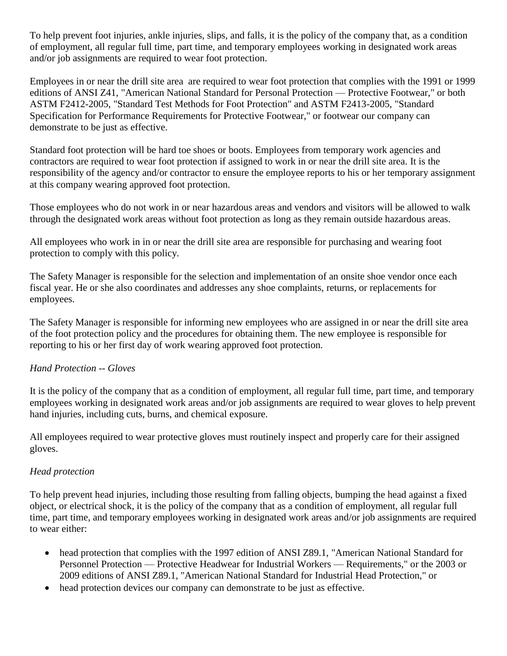To help prevent foot injuries, ankle injuries, slips, and falls, it is the policy of the company that, as a condition of employment, all regular full time, part time, and temporary employees working in designated work areas and/or job assignments are required to wear foot protection.

Employees in or near the drill site area are required to wear foot protection that complies with the 1991 or 1999 editions of ANSI Z41, "American National Standard for Personal Protection — Protective Footwear," or both ASTM F2412-2005, "Standard Test Methods for Foot Protection" and ASTM F2413-2005, "Standard Specification for Performance Requirements for Protective Footwear," or footwear our company can demonstrate to be just as effective.

Standard foot protection will be hard toe shoes or boots. Employees from temporary work agencies and contractors are required to wear foot protection if assigned to work in or near the drill site area. It is the responsibility of the agency and/or contractor to ensure the employee reports to his or her temporary assignment at this company wearing approved foot protection.

Those employees who do not work in or near hazardous areas and vendors and visitors will be allowed to walk through the designated work areas without foot protection as long as they remain outside hazardous areas.

All employees who work in in or near the drill site area are responsible for purchasing and wearing foot protection to comply with this policy.

The Safety Manager is responsible for the selection and implementation of an onsite shoe vendor once each fiscal year. He or she also coordinates and addresses any shoe complaints, returns, or replacements for employees.

The Safety Manager is responsible for informing new employees who are assigned in or near the drill site area of the foot protection policy and the procedures for obtaining them. The new employee is responsible for reporting to his or her first day of work wearing approved foot protection.

#### *Hand Protection -- Gloves*

It is the policy of the company that as a condition of employment, all regular full time, part time, and temporary employees working in designated work areas and/or job assignments are required to wear gloves to help prevent hand injuries, including cuts, burns, and chemical exposure.

All employees required to wear protective gloves must routinely inspect and properly care for their assigned gloves.

#### *Head protection*

To help prevent head injuries, including those resulting from falling objects, bumping the head against a fixed object, or electrical shock, it is the policy of the company that as a condition of employment, all regular full time, part time, and temporary employees working in designated work areas and/or job assignments are required to wear either:

- head protection that complies with the 1997 edition of ANSI Z89.1, "American National Standard for Personnel Protection — Protective Headwear for Industrial Workers — Requirements," or the 2003 or 2009 editions of ANSI Z89.1, "American National Standard for Industrial Head Protection," or
- head protection devices our company can demonstrate to be just as effective.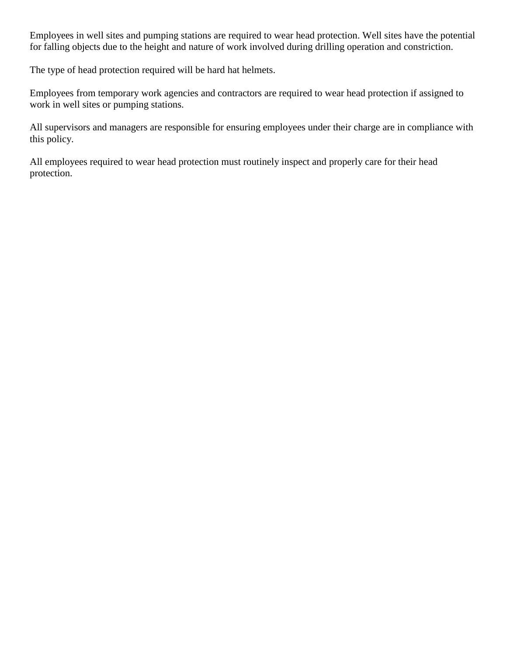Employees in well sites and pumping stations are required to wear head protection. Well sites have the potential for falling objects due to the height and nature of work involved during drilling operation and constriction.

The type of head protection required will be hard hat helmets.

Employees from temporary work agencies and contractors are required to wear head protection if assigned to work in well sites or pumping stations.

All supervisors and managers are responsible for ensuring employees under their charge are in compliance with this policy.

All employees required to wear head protection must routinely inspect and properly care for their head protection.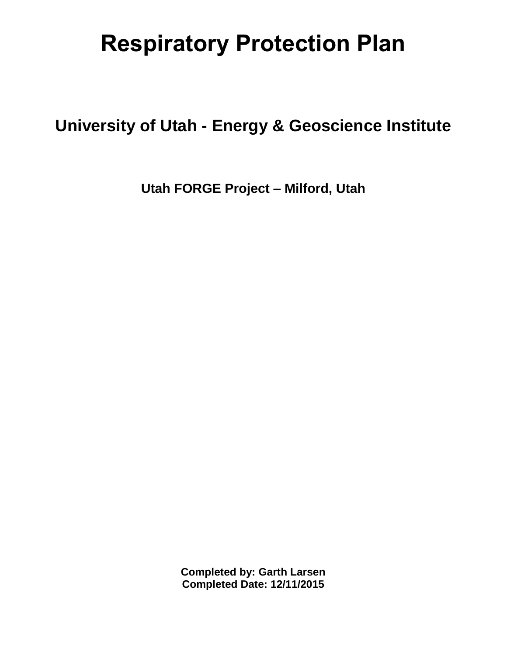# **Respiratory Protection Plan**

**University of Utah - Energy & Geoscience Institute**

**Utah FORGE Project – Milford, Utah**

**Completed by: Garth Larsen Completed Date: 12/11/2015**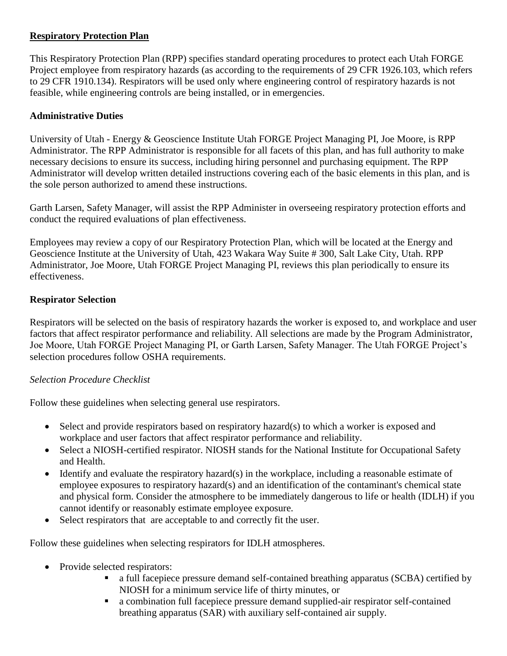#### **Respiratory Protection Plan**

This Respiratory Protection Plan (RPP) specifies standard operating procedures to protect each Utah FORGE Project employee from respiratory hazards (as according to the requirements of 29 CFR 1926.103, which refers to 29 CFR 1910.134). Respirators will be used only where engineering control of respiratory hazards is not feasible, while engineering controls are being installed, or in emergencies.

# **Administrative Duties**

University of Utah - Energy & Geoscience Institute Utah FORGE Project Managing PI, Joe Moore, is RPP Administrator. The RPP Administrator is responsible for all facets of this plan, and has full authority to make necessary decisions to ensure its success, including hiring personnel and purchasing equipment. The RPP Administrator will develop written detailed instructions covering each of the basic elements in this plan, and is the sole person authorized to amend these instructions.

Garth Larsen, Safety Manager, will assist the RPP Administer in overseeing respiratory protection efforts and conduct the required evaluations of plan effectiveness.

Employees may review a copy of our Respiratory Protection Plan, which will be located at the Energy and Geoscience Institute at the University of Utah, 423 Wakara Way Suite # 300, Salt Lake City, Utah. RPP Administrator, Joe Moore, Utah FORGE Project Managing PI, reviews this plan periodically to ensure its effectiveness.

# **Respirator Selection**

Respirators will be selected on the basis of respiratory hazards the worker is exposed to, and workplace and user factors that affect respirator performance and reliability. All selections are made by the Program Administrator, Joe Moore, Utah FORGE Project Managing PI, or Garth Larsen, Safety Manager. The Utah FORGE Project's selection procedures follow OSHA requirements.

# *Selection Procedure Checklist*

Follow these guidelines when selecting general use respirators.

- Select and provide respirators based on respiratory hazard(s) to which a worker is exposed and workplace and user factors that affect respirator performance and reliability.
- Select a NIOSH-certified respirator. NIOSH stands for the National Institute for Occupational Safety and Health.
- Identify and evaluate the respiratory hazard(s) in the workplace, including a reasonable estimate of employee exposures to respiratory hazard(s) and an identification of the contaminant's chemical state and physical form. Consider the atmosphere to be immediately dangerous to life or health (IDLH) if you cannot identify or reasonably estimate employee exposure.
- Select respirators that are acceptable to and correctly fit the user.

Follow these guidelines when selecting respirators for IDLH atmospheres.

- Provide selected respirators:
	- a full facepiece pressure demand self-contained breathing apparatus (SCBA) certified by NIOSH for a minimum service life of thirty minutes, or
	- a combination full facepiece pressure demand supplied-air respirator self-contained breathing apparatus (SAR) with auxiliary self-contained air supply.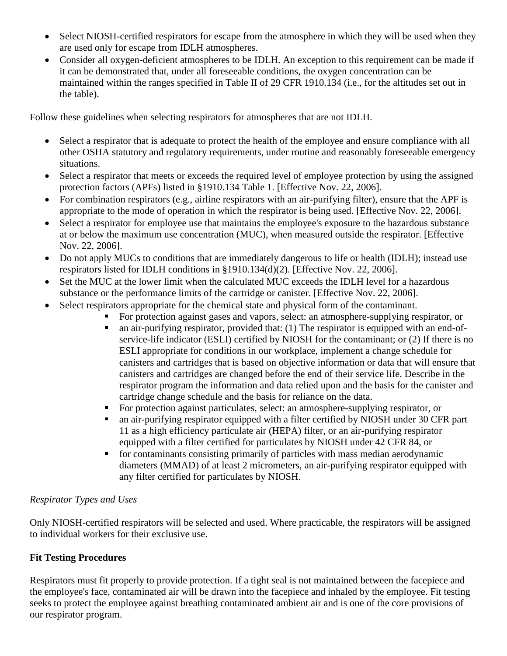- Select NIOSH-certified respirators for escape from the atmosphere in which they will be used when they are used only for escape from IDLH atmospheres.
- Consider all oxygen-deficient atmospheres to be IDLH. An exception to this requirement can be made if it can be demonstrated that, under all foreseeable conditions, the oxygen concentration can be maintained within the ranges specified in Table II of 29 CFR 1910.134 (i.e., for the altitudes set out in the table).

Follow these guidelines when selecting respirators for atmospheres that are not IDLH.

- Select a respirator that is adequate to protect the health of the employee and ensure compliance with all other OSHA statutory and regulatory requirements, under routine and reasonably foreseeable emergency situations.
- Select a respirator that meets or exceeds the required level of employee protection by using the assigned protection factors (APFs) listed in §1910.134 Table 1. [Effective Nov. 22, 2006].
- For combination respirators (e.g., airline respirators with an air-purifying filter), ensure that the APF is appropriate to the mode of operation in which the respirator is being used. [Effective Nov. 22, 2006].
- Select a respirator for employee use that maintains the employee's exposure to the hazardous substance at or below the maximum use concentration (MUC), when measured outside the respirator. [Effective Nov. 22, 2006].
- Do not apply MUCs to conditions that are immediately dangerous to life or health (IDLH); instead use respirators listed for IDLH conditions in §1910.134(d)(2). [Effective Nov. 22, 2006].
- Set the MUC at the lower limit when the calculated MUC exceeds the IDLH level for a hazardous substance or the performance limits of the cartridge or canister. [Effective Nov. 22, 2006].
- Select respirators appropriate for the chemical state and physical form of the contaminant.
	- For protection against gases and vapors, select: an atmosphere-supplying respirator, or
	- an air-purifying respirator, provided that: (1) The respirator is equipped with an end-ofservice-life indicator (ESLI) certified by NIOSH for the contaminant; or (2) If there is no ESLI appropriate for conditions in our workplace, implement a change schedule for canisters and cartridges that is based on objective information or data that will ensure that canisters and cartridges are changed before the end of their service life. Describe in the respirator program the information and data relied upon and the basis for the canister and cartridge change schedule and the basis for reliance on the data.
	- For protection against particulates, select: an atmosphere-supplying respirator, or
	- an air-purifying respirator equipped with a filter certified by NIOSH under 30 CFR part 11 as a high efficiency particulate air (HEPA) filter, or an air-purifying respirator equipped with a filter certified for particulates by NIOSH under 42 CFR 84, or
	- for contaminants consisting primarily of particles with mass median aerodynamic diameters (MMAD) of at least 2 micrometers, an air-purifying respirator equipped with any filter certified for particulates by NIOSH.

#### *Respirator Types and Uses*

Only NIOSH-certified respirators will be selected and used. Where practicable, the respirators will be assigned to individual workers for their exclusive use.

# **Fit Testing Procedures**

Respirators must fit properly to provide protection. If a tight seal is not maintained between the facepiece and the employee's face, contaminated air will be drawn into the facepiece and inhaled by the employee. Fit testing seeks to protect the employee against breathing contaminated ambient air and is one of the core provisions of our respirator program.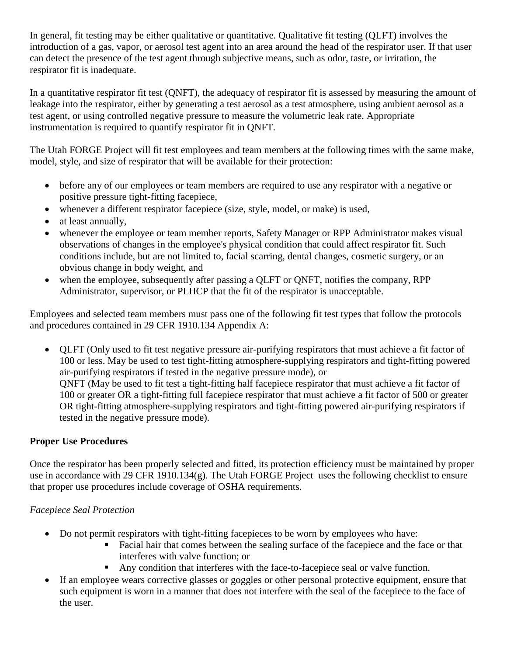In general, fit testing may be either qualitative or quantitative. Qualitative fit testing (QLFT) involves the introduction of a gas, vapor, or aerosol test agent into an area around the head of the respirator user. If that user can detect the presence of the test agent through subjective means, such as odor, taste, or irritation, the respirator fit is inadequate.

In a quantitative respirator fit test (QNFT), the adequacy of respirator fit is assessed by measuring the amount of leakage into the respirator, either by generating a test aerosol as a test atmosphere, using ambient aerosol as a test agent, or using controlled negative pressure to measure the volumetric leak rate. Appropriate instrumentation is required to quantify respirator fit in QNFT.

The Utah FORGE Project will fit test employees and team members at the following times with the same make, model, style, and size of respirator that will be available for their protection:

- before any of our employees or team members are required to use any respirator with a negative or positive pressure tight-fitting facepiece,
- whenever a different respirator facepiece (size, style, model, or make) is used,
- at least annually,
- whenever the employee or team member reports, Safety Manager or RPP Administrator makes visual observations of changes in the employee's physical condition that could affect respirator fit. Such conditions include, but are not limited to, facial scarring, dental changes, cosmetic surgery, or an obvious change in body weight, and
- when the employee, subsequently after passing a QLFT or QNFT, notifies the company, RPP Administrator, supervisor, or PLHCP that the fit of the respirator is unacceptable.

Employees and selected team members must pass one of the following fit test types that follow the protocols and procedures contained in 29 CFR 1910.134 Appendix A:

 QLFT (Only used to fit test negative pressure air-purifying respirators that must achieve a fit factor of 100 or less. May be used to test tight-fitting atmosphere-supplying respirators and tight-fitting powered air-purifying respirators if tested in the negative pressure mode), or QNFT (May be used to fit test a tight-fitting half facepiece respirator that must achieve a fit factor of 100 or greater OR a tight-fitting full facepiece respirator that must achieve a fit factor of 500 or greater OR tight-fitting atmosphere-supplying respirators and tight-fitting powered air-purifying respirators if tested in the negative pressure mode).

# **Proper Use Procedures**

Once the respirator has been properly selected and fitted, its protection efficiency must be maintained by proper use in accordance with 29 CFR 1910.134(g). The Utah FORGE Project uses the following checklist to ensure that proper use procedures include coverage of OSHA requirements.

#### *Facepiece Seal Protection*

- Do not permit respirators with tight-fitting facepieces to be worn by employees who have:
	- Facial hair that comes between the sealing surface of the facepiece and the face or that interferes with valve function; or
	- Any condition that interferes with the face-to-facepiece seal or valve function.
- If an employee wears corrective glasses or goggles or other personal protective equipment, ensure that such equipment is worn in a manner that does not interfere with the seal of the facepiece to the face of the user.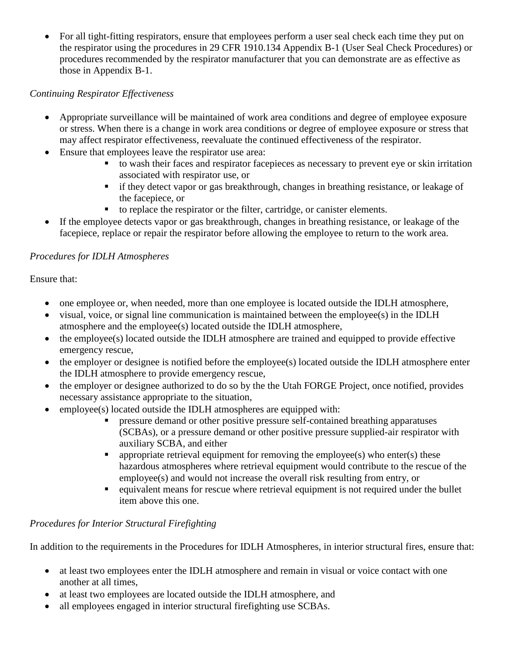For all tight-fitting respirators, ensure that employees perform a user seal check each time they put on the respirator using the procedures in 29 CFR 1910.134 Appendix B-1 (User Seal Check Procedures) or procedures recommended by the respirator manufacturer that you can demonstrate are as effective as those in Appendix B-1.

# *Continuing Respirator Effectiveness*

- Appropriate surveillance will be maintained of work area conditions and degree of employee exposure or stress. When there is a change in work area conditions or degree of employee exposure or stress that may affect respirator effectiveness, reevaluate the continued effectiveness of the respirator.
- Ensure that employees leave the respirator use area:
	- to wash their faces and respirator facepieces as necessary to prevent eye or skin irritation associated with respirator use, or
	- if they detect vapor or gas breakthrough, changes in breathing resistance, or leakage of the facepiece, or
	- to replace the respirator or the filter, cartridge, or canister elements.
- If the employee detects vapor or gas breakthrough, changes in breathing resistance, or leakage of the facepiece, replace or repair the respirator before allowing the employee to return to the work area.

# *Procedures for IDLH Atmospheres*

Ensure that:

- one employee or, when needed, more than one employee is located outside the IDLH atmosphere,
- visual, voice, or signal line communication is maintained between the employee(s) in the IDLH atmosphere and the employee(s) located outside the IDLH atmosphere,
- the employee(s) located outside the IDLH atmosphere are trained and equipped to provide effective emergency rescue,
- the employer or designee is notified before the employee(s) located outside the IDLH atmosphere enter the IDLH atmosphere to provide emergency rescue,
- the employer or designee authorized to do so by the the Utah FORGE Project, once notified, provides necessary assistance appropriate to the situation,
- employee(s) located outside the IDLH atmospheres are equipped with:
	- pressure demand or other positive pressure self-contained breathing apparatuses (SCBAs), or a pressure demand or other positive pressure supplied-air respirator with auxiliary SCBA, and either
	- **•** appropriate retrieval equipment for removing the employee(s) who enter(s) these hazardous atmospheres where retrieval equipment would contribute to the rescue of the employee(s) and would not increase the overall risk resulting from entry, or
	- equivalent means for rescue where retrieval equipment is not required under the bullet item above this one.

# *Procedures for Interior Structural Firefighting*

In addition to the requirements in the Procedures for IDLH Atmospheres, in interior structural fires, ensure that:

- at least two employees enter the IDLH atmosphere and remain in visual or voice contact with one another at all times,
- at least two employees are located outside the IDLH atmosphere, and
- all employees engaged in interior structural firefighting use SCBAs.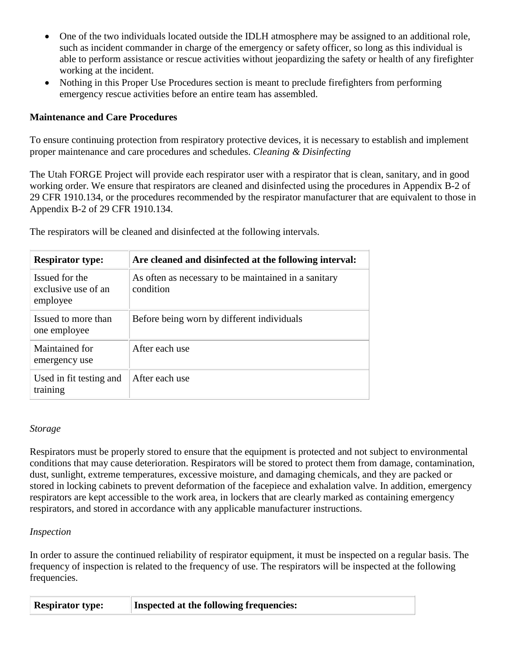- One of the two individuals located outside the IDLH atmosphe*r*e may be assigned to an additional role, such as incident commander in charge of the emergency or safety officer, so long as this individual is able to perform assistance or rescue activities without jeopardizing the safety or health of any firefighter working at the incident.
- Nothing in this Proper Use Procedures section is meant to preclude firefighters from performing emergency rescue activities before an entire team has assembled.

## **Maintenance and Care Procedures**

To ensure continuing protection from respiratory protective devices, it is necessary to establish and implement proper maintenance and care procedures and schedules. *Cleaning & Disinfecting*

The Utah FORGE Project will provide each respirator user with a respirator that is clean, sanitary, and in good working order. We ensure that respirators are cleaned and disinfected using the procedures in Appendix B-2 of 29 CFR 1910.134, or the procedures recommended by the respirator manufacturer that are equivalent to those in Appendix B-2 of 29 CFR 1910.134.

| <b>Respirator type:</b>                           | Are cleaned and disinfected at the following interval:            |
|---------------------------------------------------|-------------------------------------------------------------------|
| Issued for the<br>exclusive use of an<br>employee | As often as necessary to be maintained in a sanitary<br>condition |
| Issued to more than<br>one employee               | Before being worn by different individuals                        |
| Maintained for<br>emergency use                   | After each use                                                    |
| Used in fit testing and<br>training               | After each use                                                    |

The respirators will be cleaned and disinfected at the following intervals.

#### *Storage*

Respirators must be properly stored to ensure that the equipment is protected and not subject to environmental conditions that may cause deterioration. Respirators will be stored to protect them from damage, contamination, dust, sunlight, extreme temperatures, excessive moisture, and damaging chemicals, and they are packed or stored in locking cabinets to prevent deformation of the facepiece and exhalation valve. In addition, emergency respirators are kept accessible to the work area, in lockers that are clearly marked as containing emergency respirators, and stored in accordance with any applicable manufacturer instructions.

#### *Inspection*

In order to assure the continued reliability of respirator equipment, it must be inspected on a regular basis. The frequency of inspection is related to the frequency of use. The respirators will be inspected at the following frequencies.

| <b>Respirator type:</b> | Inspected at the following frequencies: |
|-------------------------|-----------------------------------------|
|-------------------------|-----------------------------------------|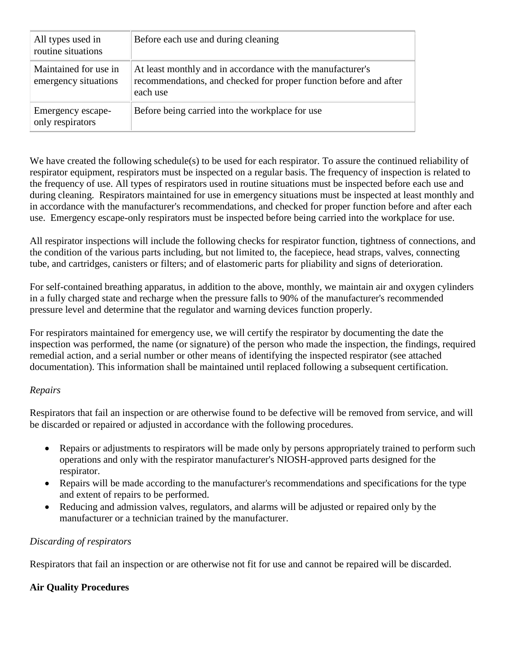| All types used in<br>routine situations       | Before each use and during cleaning                                                                                                         |
|-----------------------------------------------|---------------------------------------------------------------------------------------------------------------------------------------------|
| Maintained for use in<br>emergency situations | At least monthly and in accordance with the manufacturer's<br>recommendations, and checked for proper function before and after<br>each use |
| Emergency escape-<br>only respirators         | Before being carried into the workplace for use                                                                                             |

We have created the following schedule(s) to be used for each respirator. To assure the continued reliability of respirator equipment, respirators must be inspected on a regular basis. The frequency of inspection is related to the frequency of use. All types of respirators used in routine situations must be inspected before each use and during cleaning. Respirators maintained for use in emergency situations must be inspected at least monthly and in accordance with the manufacturer's recommendations, and checked for proper function before and after each use. Emergency escape-only respirators must be inspected before being carried into the workplace for use.

All respirator inspections will include the following checks for respirator function, tightness of connections, and the condition of the various parts including, but not limited to, the facepiece, head straps, valves, connecting tube, and cartridges, canisters or filters; and of elastomeric parts for pliability and signs of deterioration.

For self-contained breathing apparatus, in addition to the above, monthly, we maintain air and oxygen cylinders in a fully charged state and recharge when the pressure falls to 90% of the manufacturer's recommended pressure level and determine that the regulator and warning devices function properly.

For respirators maintained for emergency use, we will certify the respirator by documenting the date the inspection was performed, the name (or signature) of the person who made the inspection, the findings, required remedial action, and a serial number or other means of identifying the inspected respirator (see attached documentation). This information shall be maintained until replaced following a subsequent certification.

#### *Repairs*

Respirators that fail an inspection or are otherwise found to be defective will be removed from service, and will be discarded or repaired or adjusted in accordance with the following procedures.

- Repairs or adjustments to respirators will be made only by persons appropriately trained to perform such operations and only with the respirator manufacturer's NIOSH-approved parts designed for the respirator.
- Repairs will be made according to the manufacturer's recommendations and specifications for the type and extent of repairs to be performed.
- Reducing and admission valves, regulators, and alarms will be adjusted or repaired only by the manufacturer or a technician trained by the manufacturer.

# *Discarding of respirators*

Respirators that fail an inspection or are otherwise not fit for use and cannot be repaired will be discarded.

# **Air Quality Procedures**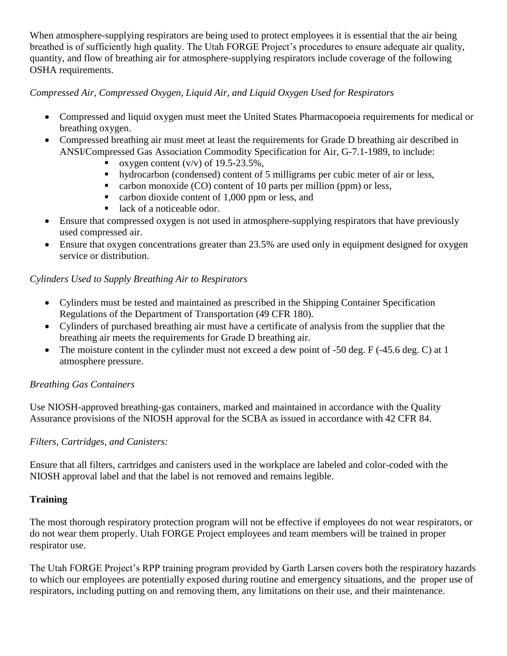When atmosphere-supplying respirators are being used to protect employees it is essential that the air being breathed is of sufficiently high quality. The Utah FORGE Project's procedures to ensure adequate air quality, quantity, and flow of breathing air for atmosphere-supplying respirators include coverage of the following OSHA requirements.

# *Compressed Air, Compressed Oxygen, Liquid Air, and Liquid Oxygen Used for Respirators*

- Compressed and liquid oxygen must meet the United States Pharmacopoeia requirements for medical or breathing oxygen.
- Compressed breathing air must meet at least the requirements for Grade D breathing air described in ANSI/Compressed Gas Association Commodity Specification for Air, G-7.1-1989, to include:
	- oxygen content  $(v/v)$  of 19.5-23.5%,
	- hydrocarbon (condensed) content of 5 milligrams per cubic meter of air or less,
	- $\blacksquare$  carbon monoxide (CO) content of 10 parts per million (ppm) or less,
	- $\blacksquare$  carbon dioxide content of 1,000 ppm or less, and
	- lack of a noticeable odor.
- Ensure that compressed oxygen is not used in atmosphere-supplying respirators that have previously used compressed air.
- Ensure that oxygen concentrations greater than 23.5% are used only in equipment designed for oxygen service or distribution.

## *Cylinders Used to Supply Breathing Air to Respirators*

- Cylinders must be tested and maintained as prescribed in the Shipping Container Specification Regulations of the Department of Transportation (49 CFR 180).
- Cylinders of purchased breathing air must have a certificate of analysis from the supplier that the breathing air meets the requirements for Grade D breathing air.
- The moisture content in the cylinder must not exceed a dew point of -50 deg. F (-45.6 deg. C) at 1 atmosphere pressure.

# *Breathing Gas Containers*

Use NIOSH-approved breathing-gas containers, marked and maintained in accordance with the Quality Assurance provisions of the NIOSH approval for the SCBA as issued in accordance with 42 CFR 84.

#### *Filters, Cartridges, and Canisters:*

Ensure that all filters, cartridges and canisters used in the workplace are labeled and color-coded with the NIOSH approval label and that the label is not removed and remains legible.

# **Training**

The most thorough respiratory protection program will not be effective if employees do not wear respirators, or do not wear them properly. Utah FORGE Project employees and team members will be trained in proper respirator use.

The Utah FORGE Project's RPP training program provided by Garth Larsen covers both the respiratory hazards to which our employees are potentially exposed during routine and emergency situations, and the proper use of respirators, including putting on and removing them, any limitations on their use, and their maintenance.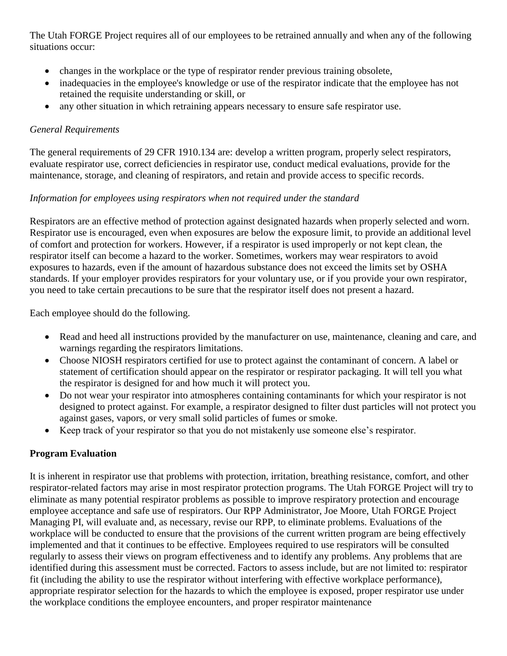The Utah FORGE Project requires all of our employees to be retrained annually and when any of the following situations occur:

- changes in the workplace or the type of respirator render previous training obsolete,
- inadequacies in the employee's knowledge or use of the respirator indicate that the employee has not retained the requisite understanding or skill, or
- any other situation in which retraining appears necessary to ensure safe respirator use.

# *General Requirements*

The general requirements of 29 CFR 1910.134 are: develop a written program, properly select respirators, evaluate respirator use, correct deficiencies in respirator use, conduct medical evaluations, provide for the maintenance, storage, and cleaning of respirators, and retain and provide access to specific records.

## *Information for employees using respirators when not required under the standard*

Respirators are an effective method of protection against designated hazards when properly selected and worn. Respirator use is encouraged, even when exposures are below the exposure limit, to provide an additional level of comfort and protection for workers. However, if a respirator is used improperly or not kept clean, the respirator itself can become a hazard to the worker. Sometimes, workers may wear respirators to avoid exposures to hazards, even if the amount of hazardous substance does not exceed the limits set by OSHA standards. If your employer provides respirators for your voluntary use, or if you provide your own respirator, you need to take certain precautions to be sure that the respirator itself does not present a hazard.

Each employee should do the following.

- Read and heed all instructions provided by the manufacturer on use, maintenance, cleaning and care, and warnings regarding the respirators limitations.
- Choose NIOSH respirators certified for use to protect against the contaminant of concern. A label or statement of certification should appear on the respirator or respirator packaging. It will tell you what the respirator is designed for and how much it will protect you.
- Do not wear your respirator into atmospheres containing contaminants for which your respirator is not designed to protect against. For example, a respirator designed to filter dust particles will not protect you against gases, vapors, or very small solid particles of fumes or smoke.
- Keep track of your respirator so that you do not mistakenly use someone else's respirator.

# **Program Evaluation**

It is inherent in respirator use that problems with protection, irritation, breathing resistance, comfort, and other respirator-related factors may arise in most respirator protection programs. The Utah FORGE Project will try to eliminate as many potential respirator problems as possible to improve respiratory protection and encourage employee acceptance and safe use of respirators. Our RPP Administrator, Joe Moore, Utah FORGE Project Managing PI, will evaluate and, as necessary, revise our RPP, to eliminate problems. Evaluations of the workplace will be conducted to ensure that the provisions of the current written program are being effectively implemented and that it continues to be effective. Employees required to use respirators will be consulted regularly to assess their views on program effectiveness and to identify any problems. Any problems that are identified during this assessment must be corrected. Factors to assess include, but are not limited to: respirator fit (including the ability to use the respirator without interfering with effective workplace performance), appropriate respirator selection for the hazards to which the employee is exposed, proper respirator use under the workplace conditions the employee encounters, and proper respirator maintenance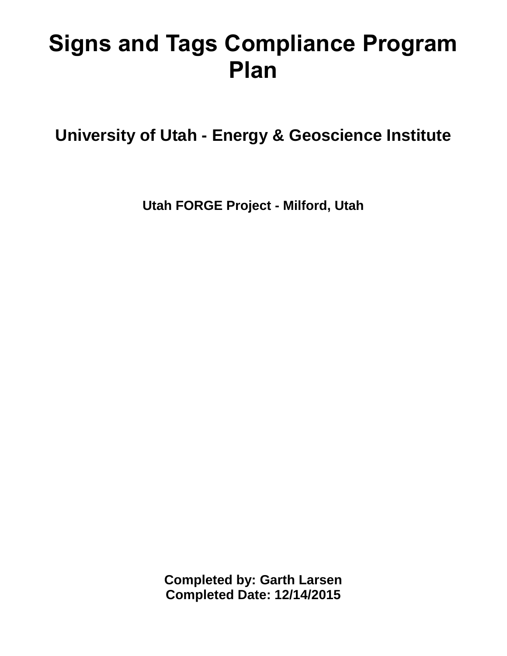# **Signs and Tags Compliance Program Plan**

**University of Utah - Energy & Geoscience Institute**

**Utah FORGE Project - Milford, Utah**

**Completed by: Garth Larsen Completed Date: 12/14/2015**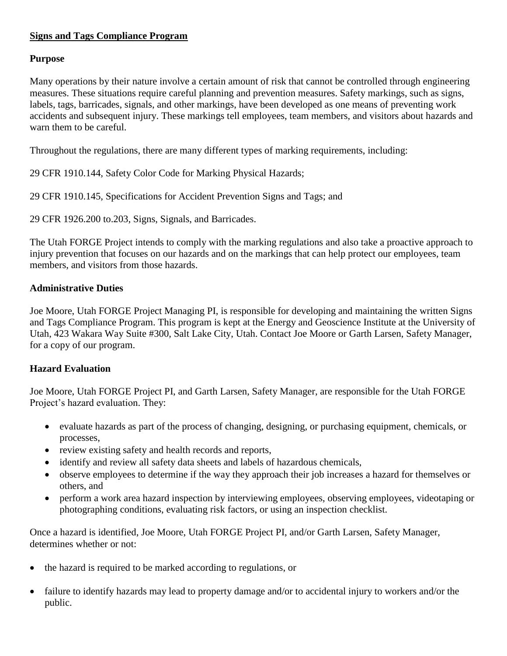# **Signs and Tags Compliance Program**

#### **Purpose**

Many operations by their nature involve a certain amount of risk that cannot be controlled through engineering measures. These situations require careful planning and prevention measures. Safety markings, such as signs, labels, tags, barricades, signals, and other markings, have been developed as one means of preventing work accidents and subsequent injury. These markings tell employees, team members, and visitors about hazards and warn them to be careful.

Throughout the regulations, there are many different types of marking requirements, including:

29 CFR 1910.144, Safety Color Code for Marking Physical Hazards;

29 CFR 1910.145, Specifications for Accident Prevention Signs and Tags; and

29 CFR 1926.200 to.203, Signs, Signals, and Barricades.

The Utah FORGE Project intends to comply with the marking regulations and also take a proactive approach to injury prevention that focuses on our hazards and on the markings that can help protect our employees, team members, and visitors from those hazards.

## **Administrative Duties**

Joe Moore, Utah FORGE Project Managing PI, is responsible for developing and maintaining the written Signs and Tags Compliance Program. This program is kept at the Energy and Geoscience Institute at the University of Utah, 423 Wakara Way Suite #300, Salt Lake City, Utah. Contact Joe Moore or Garth Larsen, Safety Manager, for a copy of our program.

#### **Hazard Evaluation**

Joe Moore, Utah FORGE Project PI, and Garth Larsen, Safety Manager, are responsible for the Utah FORGE Project's hazard evaluation. They:

- evaluate hazards as part of the process of changing, designing, or purchasing equipment, chemicals, or processes,
- review existing safety and health records and reports,
- identify and review all safety data sheets and labels of hazardous chemicals,
- observe employees to determine if the way they approach their job increases a hazard for themselves or others, and
- perform a work area hazard inspection by interviewing employees, observing employees, videotaping or photographing conditions, evaluating risk factors, or using an inspection checklist.

Once a hazard is identified, Joe Moore, Utah FORGE Project PI, and/or Garth Larsen, Safety Manager, determines whether or not:

- the hazard is required to be marked according to regulations, or
- failure to identify hazards may lead to property damage and/or to accidental injury to workers and/or the public.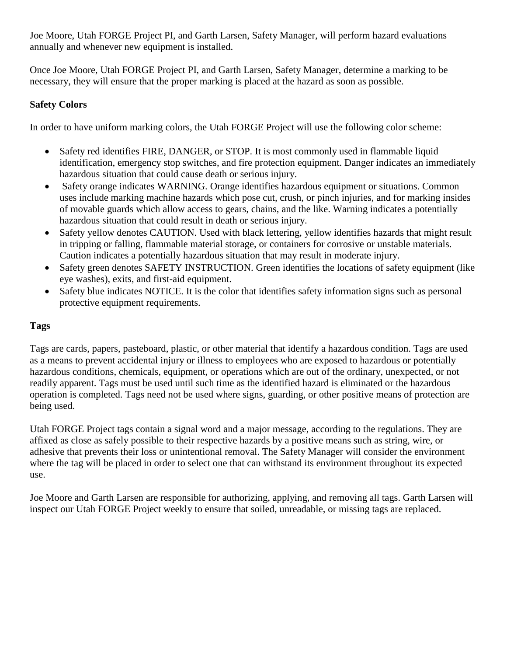Joe Moore, Utah FORGE Project PI, and Garth Larsen, Safety Manager, will perform hazard evaluations annually and whenever new equipment is installed.

Once Joe Moore, Utah FORGE Project PI, and Garth Larsen, Safety Manager, determine a marking to be necessary, they will ensure that the proper marking is placed at the hazard as soon as possible.

# **Safety Colors**

In order to have uniform marking colors, the Utah FORGE Project will use the following color scheme:

- Safety red identifies FIRE, DANGER, or STOP. It is most commonly used in flammable liquid identification, emergency stop switches, and fire protection equipment. Danger indicates an immediately hazardous situation that could cause death or serious injury.
- Safety orange indicates WARNING. Orange identifies hazardous equipment or situations. Common uses include marking machine hazards which pose cut, crush, or pinch injuries, and for marking insides of movable guards which allow access to gears, chains, and the like. Warning indicates a potentially hazardous situation that could result in death or serious injury.
- Safety yellow denotes CAUTION. Used with black lettering, yellow identifies hazards that might result in tripping or falling, flammable material storage, or containers for corrosive or unstable materials. Caution indicates a potentially hazardous situation that may result in moderate injury.
- Safety green denotes SAFETY INSTRUCTION. Green identifies the locations of safety equipment (like eye washes), exits, and first-aid equipment.
- Safety blue indicates NOTICE. It is the color that identifies safety information signs such as personal protective equipment requirements.

#### **Tags**

Tags are cards, papers, pasteboard, plastic, or other material that identify a hazardous condition. Tags are used as a means to prevent accidental injury or illness to employees who are exposed to hazardous or potentially hazardous conditions, chemicals, equipment, or operations which are out of the ordinary, unexpected, or not readily apparent. Tags must be used until such time as the identified hazard is eliminated or the hazardous operation is completed. Tags need not be used where signs, guarding, or other positive means of protection are being used.

Utah FORGE Project tags contain a signal word and a major message, according to the regulations. They are affixed as close as safely possible to their respective hazards by a positive means such as string, wire, or adhesive that prevents their loss or unintentional removal. The Safety Manager will consider the environment where the tag will be placed in order to select one that can withstand its environment throughout its expected use.

Joe Moore and Garth Larsen are responsible for authorizing, applying, and removing all tags. Garth Larsen will inspect our Utah FORGE Project weekly to ensure that soiled, unreadable, or missing tags are replaced.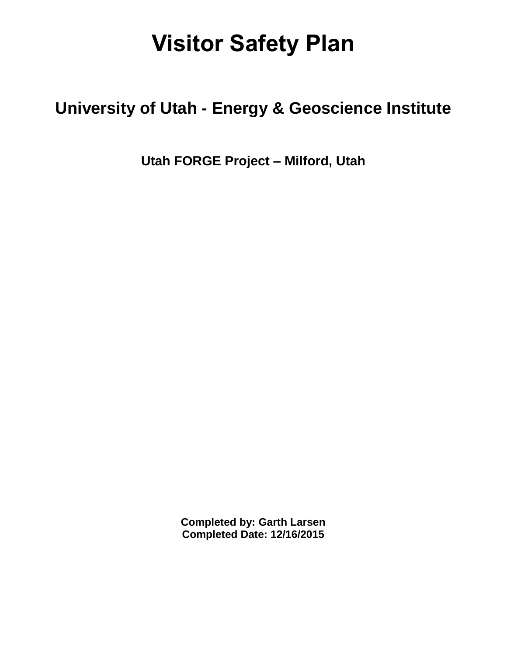# **Visitor Safety Plan**

## **University of Utah - Energy & Geoscience Institute**

**Utah FORGE Project – Milford, Utah**

**Completed by: Garth Larsen Completed Date: 12/16/2015**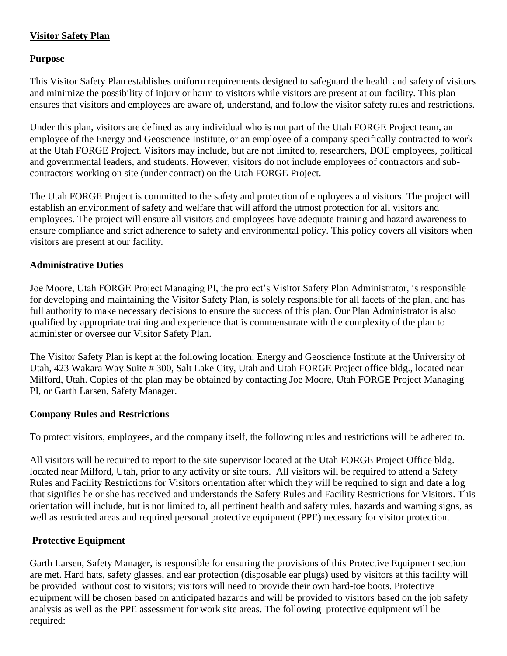### **Visitor Safety Plan**

### **Purpose**

This Visitor Safety Plan establishes uniform requirements designed to safeguard the health and safety of visitors and minimize the possibility of injury or harm to visitors while visitors are present at our facility. This plan ensures that visitors and employees are aware of, understand, and follow the visitor safety rules and restrictions.

Under this plan, visitors are defined as any individual who is not part of the Utah FORGE Project team, an employee of the Energy and Geoscience Institute, or an employee of a company specifically contracted to work at the Utah FORGE Project. Visitors may include, but are not limited to, researchers, DOE employees, political and governmental leaders, and students. However, visitors do not include employees of contractors and subcontractors working on site (under contract) on the Utah FORGE Project.

The Utah FORGE Project is committed to the safety and protection of employees and visitors. The project will establish an environment of safety and welfare that will afford the utmost protection for all visitors and employees. The project will ensure all visitors and employees have adequate training and hazard awareness to ensure compliance and strict adherence to safety and environmental policy. This policy covers all visitors when visitors are present at our facility.

### **Administrative Duties**

Joe Moore, Utah FORGE Project Managing PI, the project's Visitor Safety Plan Administrator, is responsible for developing and maintaining the Visitor Safety Plan, is solely responsible for all facets of the plan, and has full authority to make necessary decisions to ensure the success of this plan. Our Plan Administrator is also qualified by appropriate training and experience that is commensurate with the complexity of the plan to administer or oversee our Visitor Safety Plan.

The Visitor Safety Plan is kept at the following location: Energy and Geoscience Institute at the University of Utah, 423 Wakara Way Suite # 300, Salt Lake City, Utah and Utah FORGE Project office bldg., located near Milford, Utah. Copies of the plan may be obtained by contacting Joe Moore, Utah FORGE Project Managing PI, or Garth Larsen, Safety Manager.

### **Company Rules and Restrictions**

To protect visitors, employees, and the company itself, the following rules and restrictions will be adhered to.

All visitors will be required to report to the site supervisor located at the Utah FORGE Project Office bldg. located near Milford, Utah, prior to any activity or site tours. All visitors will be required to attend a Safety Rules and Facility Restrictions for Visitors orientation after which they will be required to sign and date a log that signifies he or she has received and understands the Safety Rules and Facility Restrictions for Visitors. This orientation will include, but is not limited to, all pertinent health and safety rules, hazards and warning signs, as well as restricted areas and required personal protective equipment (PPE) necessary for visitor protection.

### **Protective Equipment**

Garth Larsen, Safety Manager, is responsible for ensuring the provisions of this Protective Equipment section are met. Hard hats, safety glasses, and ear protection (disposable ear plugs) used by visitors at this facility will be provided without cost to visitors; visitors will need to provide their own hard-toe boots. Protective equipment will be chosen based on anticipated hazards and will be provided to visitors based on the job safety analysis as well as the PPE assessment for work site areas. The following protective equipment will be required: